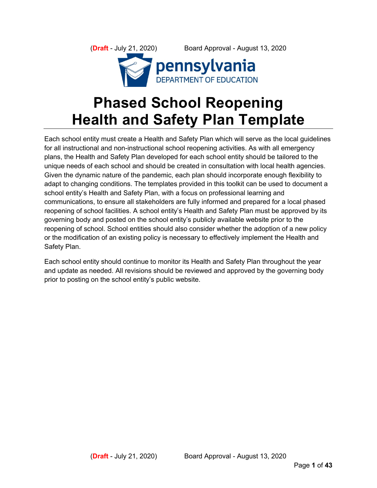(**Draft** - July 21, 2020) Board Approval - August 13, 2020 **DEPARTMENT OF EDUCATION** 

# **Phased School Reopening Health and Safety Plan Template**

Each school entity must create a Health and Safety Plan which will serve as the local guidelines for all instructional and non-instructional school reopening activities. As with all emergency plans, the Health and Safety Plan developed for each school entity should be tailored to the unique needs of each school and should be created in consultation with local health agencies. Given the dynamic nature of the pandemic, each plan should incorporate enough flexibility to adapt to changing conditions. The templates provided in this toolkit can be used to document a school entity's Health and Safety Plan, with a focus on professional learning and communications, to ensure all stakeholders are fully informed and prepared for a local phased reopening of school facilities. A school entity's Health and Safety Plan must be approved by its governing body and posted on the school entity's publicly available website prior to the reopening of school. School entities should also consider whether the adoption of a new policy or the modification of an existing policy is necessary to effectively implement the Health and Safety Plan.

Each school entity should continue to monitor its Health and Safety Plan throughout the year and update as needed. All revisions should be reviewed and approved by the governing body prior to posting on the school entity's public website.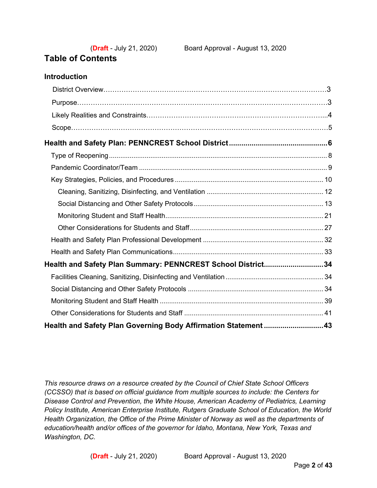# **Table of Contents**

**Introduction**

| Health and Safety Plan Summary: PENNCREST School District34    |  |
|----------------------------------------------------------------|--|
|                                                                |  |
|                                                                |  |
|                                                                |  |
|                                                                |  |
| Health and Safety Plan Governing Body Affirmation Statement 43 |  |

*This resource draws on a resource created by the Council of Chief State School Officers (CCSSO) that is based on official guidance from multiple sources to include: the Centers for Disease Control and Prevention, the White House, American Academy of Pediatrics, Learning Policy Institute, American Enterprise Institute, Rutgers Graduate School of Education, the World Health Organization, the Office of the Prime Minister of Norway as well as the departments of education/health and/or offices of the governor for Idaho, Montana, New York, Texas and Washington, DC.*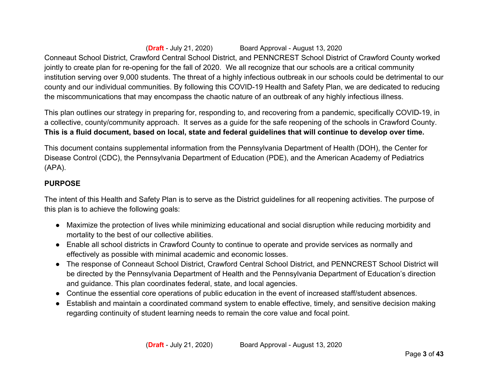(**Draft** - July 21, 2020) Board Approval - August 13, 2020 Conneaut School District, Crawford Central School District, and PENNCREST School District of Crawford County worked jointly to create plan for re-opening for the fall of 2020. We all recognize that our schools are a critical community institution serving over 9,000 students. The threat of a highly infectious outbreak in our schools could be detrimental to our county and our individual communities. By following this COVID-19 Health and Safety Plan, we are dedicated to reducing the miscommunications that may encompass the chaotic nature of an outbreak of any highly infectious illness.

This plan outlines our strategy in preparing for, responding to, and recovering from a pandemic, specifically COVID-19, in a collective, county/community approach. It serves as a guide for the safe reopening of the schools in Crawford County. **This is a fluid document, based on local, state and federal guidelines that will continue to develop over time.** 

This document contains supplemental information from the Pennsylvania Department of Health (DOH), the Center for Disease Control (CDC), the Pennsylvania Department of Education (PDE), and the American Academy of Pediatrics (APA).

#### **PURPOSE**

The intent of this Health and Safety Plan is to serve as the District guidelines for all reopening activities. The purpose of this plan is to achieve the following goals:

- Maximize the protection of lives while minimizing educational and social disruption while reducing morbidity and mortality to the best of our collective abilities.
- Enable all school districts in Crawford County to continue to operate and provide services as normally and effectively as possible with minimal academic and economic losses.
- The response of Conneaut School District, Crawford Central School District, and PENNCREST School District will be directed by the Pennsylvania Department of Health and the Pennsylvania Department of Education's direction and guidance. This plan coordinates federal, state, and local agencies.
- Continue the essential core operations of public education in the event of increased staff/student absences.
- Establish and maintain a coordinated command system to enable effective, timely, and sensitive decision making regarding continuity of student learning needs to remain the core value and focal point.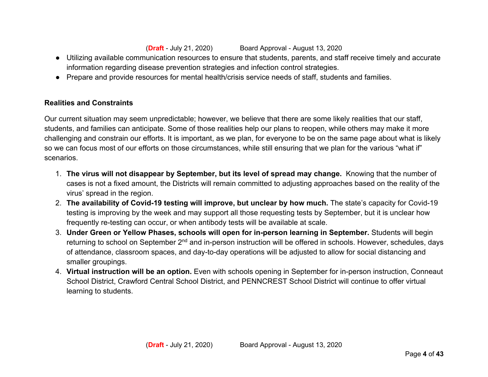- Utilizing available communication resources to ensure that students, parents, and staff receive timely and accurate information regarding disease prevention strategies and infection control strategies.
- Prepare and provide resources for mental health/crisis service needs of staff, students and families.

### **Realities and Constraints**

Our current situation may seem unpredictable; however, we believe that there are some likely realities that our staff, students, and families can anticipate. Some of those realities help our plans to reopen, while others may make it more challenging and constrain our efforts. It is important, as we plan, for everyone to be on the same page about what is likely so we can focus most of our efforts on those circumstances, while still ensuring that we plan for the various "what if" scenarios.

- 1. **The virus will not disappear by September, but its level of spread may change.** Knowing that the number of cases is not a fixed amount, the Districts will remain committed to adjusting approaches based on the reality of the virus' spread in the region.
- 2. **The availability of Covid-19 testing will improve, but unclear by how much.** The state's capacity for Covid-19 testing is improving by the week and may support all those requesting tests by September, but it is unclear how frequently re-testing can occur, or when antibody tests will be available at scale.
- 3. **Under Green or Yellow Phases, schools will open for in-person learning in September.** Students will begin returning to school on September 2<sup>nd</sup> and in-person instruction will be offered in schools. However, schedules, days of attendance, classroom spaces, and day-to-day operations will be adjusted to allow for social distancing and smaller groupings.
- 4. **Virtual instruction will be an option.** Even with schools opening in September for in-person instruction, Conneaut School District, Crawford Central School District, and PENNCREST School District will continue to offer virtual learning to students.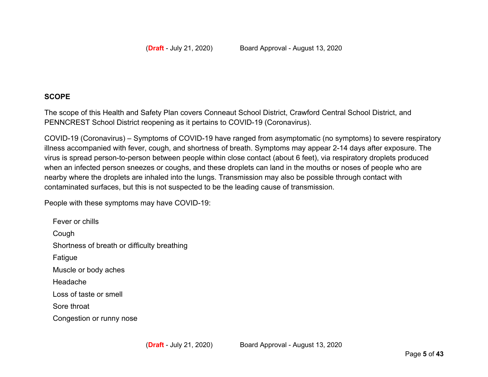#### **SCOPE**

The scope of this Health and Safety Plan covers Conneaut School District, Crawford Central School District, and PENNCREST School District reopening as it pertains to COVID-19 (Coronavirus).

COVID-19 (Coronavirus) – Symptoms of COVID-19 have ranged from asymptomatic (no symptoms) to severe respiratory illness accompanied with fever, cough, and shortness of breath. Symptoms may appear 2-14 days after exposure. The virus is spread person-to-person between people within close contact (about 6 feet), via respiratory droplets produced when an infected person sneezes or coughs, and these droplets can land in the mouths or noses of people who are nearby where the droplets are inhaled into the lungs. Transmission may also be possible through contact with contaminated surfaces, but this is not suspected to be the leading cause of transmission.

People with these symptoms may have COVID-19:

Fever or chills Cough Shortness of breath or difficulty breathing Fatigue Muscle or body aches Headache Loss of taste or smell Sore throat Congestion or runny nose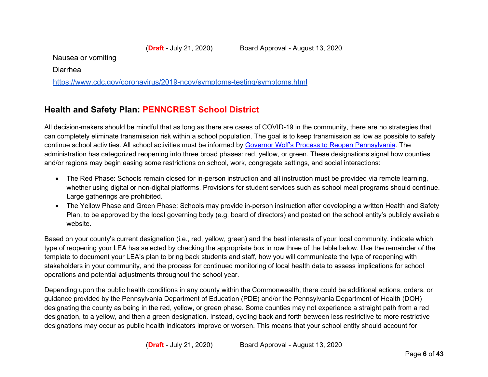Nausea or vomiting

Diarrhea

https://www.cdc.gov/coronavirus/2019-ncov/symptoms-testing/symptoms.html

# **Health and Safety Plan: PENNCREST School District**

All decision-makers should be mindful that as long as there are cases of COVID-19 in the community, there are no strategies that can completely eliminate transmission risk within a school population. The goal is to keep transmission as low as possible to safely continue school activities. All school activities must be informed by Governor Wolf's Process to Reopen Pennsylvania. The administration has categorized reopening into three broad phases: red, yellow, or green. These designations signal how counties and/or regions may begin easing some restrictions on school, work, congregate settings, and social interactions:

- The Red Phase: Schools remain closed for in-person instruction and all instruction must be provided via remote learning, whether using digital or non-digital platforms. Provisions for student services such as school meal programs should continue. Large gatherings are prohibited.
- The Yellow Phase and Green Phase: Schools may provide in-person instruction after developing a written Health and Safety Plan, to be approved by the local governing body (e.g. board of directors) and posted on the school entity's publicly available website.

Based on your county's current designation (i.e., red, yellow, green) and the best interests of your local community, indicate which type of reopening your LEA has selected by checking the appropriate box in row three of the table below. Use the remainder of the template to document your LEA's plan to bring back students and staff, how you will communicate the type of reopening with stakeholders in your community, and the process for continued monitoring of local health data to assess implications for school operations and potential adjustments throughout the school year.

Depending upon the public health conditions in any county within the Commonwealth, there could be additional actions, orders, or guidance provided by the Pennsylvania Department of Education (PDE) and/or the Pennsylvania Department of Health (DOH) designating the county as being in the red, yellow, or green phase. Some counties may not experience a straight path from a red designation, to a yellow, and then a green designation. Instead, cycling back and forth between less restrictive to more restrictive designations may occur as public health indicators improve or worsen. This means that your school entity should account for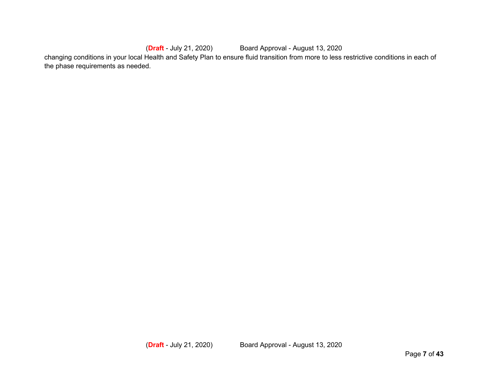(**Draft** - July 21, 2020) Board Approval - August 13, 2020 changing conditions in your local Health and Safety Plan to ensure fluid transition from more to less restrictive conditions in each of the phase requirements as needed.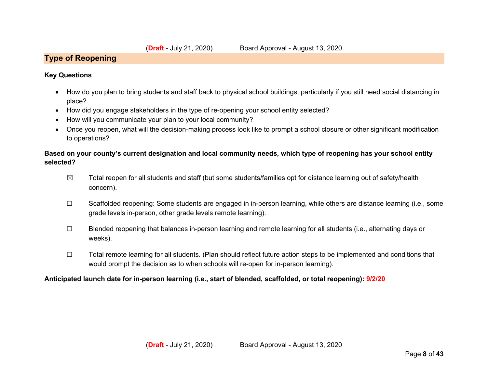#### **Type of Reopening**

#### **Key Questions**

- How do you plan to bring students and staff back to physical school buildings, particularly if you still need social distancing in place?
- How did you engage stakeholders in the type of re-opening your school entity selected?
- How will you communicate your plan to your local community?
- Once you reopen, what will the decision-making process look like to prompt a school closure or other significant modification to operations?

#### **Based on your county's current designation and local community needs, which type of reopening has your school entity selected?**

- $\boxtimes$  Total reopen for all students and staff (but some students/families opt for distance learning out of safety/health concern).
- ☐ Scaffolded reopening: Some students are engaged in in-person learning, while others are distance learning (i.e., some grade levels in-person, other grade levels remote learning).
- ☐ Blended reopening that balances in-person learning and remote learning for all students (i.e., alternating days or weeks).
- ☐ Total remote learning for all students. (Plan should reflect future action steps to be implemented and conditions that would prompt the decision as to when schools will re-open for in-person learning).

#### **Anticipated launch date for in-person learning (i.e., start of blended, scaffolded, or total reopening): 9/2/20**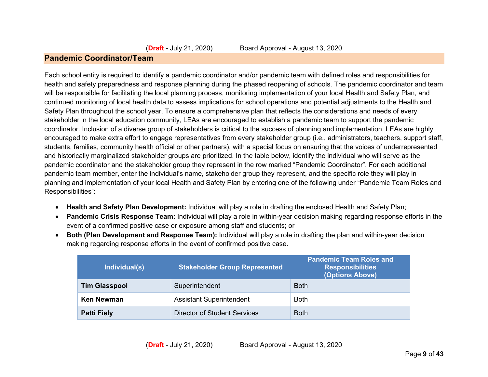#### **Pandemic Coordinator/Team**

Each school entity is required to identify a pandemic coordinator and/or pandemic team with defined roles and responsibilities for health and safety preparedness and response planning during the phased reopening of schools. The pandemic coordinator and team will be responsible for facilitating the local planning process, monitoring implementation of your local Health and Safety Plan, and continued monitoring of local health data to assess implications for school operations and potential adjustments to the Health and Safety Plan throughout the school year. To ensure a comprehensive plan that reflects the considerations and needs of every stakeholder in the local education community, LEAs are encouraged to establish a pandemic team to support the pandemic coordinator. Inclusion of a diverse group of stakeholders is critical to the success of planning and implementation. LEAs are highly encouraged to make extra effort to engage representatives from every stakeholder group (i.e., administrators, teachers, support staff, students, families, community health official or other partners), with a special focus on ensuring that the voices of underrepresented and historically marginalized stakeholder groups are prioritized. In the table below, identify the individual who will serve as the pandemic coordinator and the stakeholder group they represent in the row marked "Pandemic Coordinator". For each additional pandemic team member, enter the individual's name, stakeholder group they represent, and the specific role they will play in planning and implementation of your local Health and Safety Plan by entering one of the following under "Pandemic Team Roles and Responsibilities":

- **Health and Safety Plan Development:** Individual will play a role in drafting the enclosed Health and Safety Plan;
- **Pandemic Crisis Response Team:** Individual will play a role in within-year decision making regarding response efforts in the event of a confirmed positive case or exposure among staff and students; or
- **Both (Plan Development and Response Team):** Individual will play a role in drafting the plan and within-year decision making regarding response efforts in the event of confirmed positive case.

| Individual(s)        | <b>Stakeholder Group Represented</b> | <b>Pandemic Team Roles and</b><br><b>Responsibilities</b><br>(Options Above) |
|----------------------|--------------------------------------|------------------------------------------------------------------------------|
| <b>Tim Glasspool</b> | Superintendent                       | <b>Both</b>                                                                  |
| Ken Newman           | <b>Assistant Superintendent</b>      | <b>Both</b>                                                                  |
| <b>Patti Fiely</b>   | Director of Student Services         | <b>Both</b>                                                                  |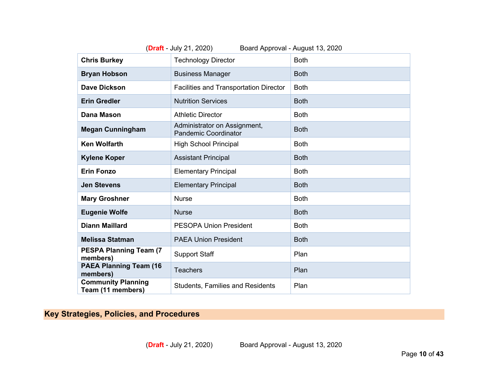| (Draft - July 21, 2020)<br>Board Approval - August 13, 2020 |                                                             |             |  |  |
|-------------------------------------------------------------|-------------------------------------------------------------|-------------|--|--|
| <b>Chris Burkey</b>                                         | <b>Technology Director</b>                                  | <b>Both</b> |  |  |
| <b>Bryan Hobson</b>                                         | <b>Business Manager</b>                                     | <b>Both</b> |  |  |
| <b>Dave Dickson</b>                                         | <b>Facilities and Transportation Director</b>               | <b>Both</b> |  |  |
| <b>Erin Gredler</b>                                         | <b>Nutrition Services</b>                                   | <b>Both</b> |  |  |
| <b>Dana Mason</b>                                           | <b>Athletic Director</b>                                    | <b>Both</b> |  |  |
| <b>Megan Cunningham</b>                                     | Administrator on Assignment,<br><b>Pandemic Coordinator</b> | <b>Both</b> |  |  |
| <b>Ken Wolfarth</b>                                         | <b>High School Principal</b>                                | <b>Both</b> |  |  |
| <b>Kylene Koper</b>                                         | <b>Assistant Principal</b>                                  | <b>Both</b> |  |  |
| <b>Erin Fonzo</b>                                           | <b>Elementary Principal</b>                                 | <b>Both</b> |  |  |
| <b>Jen Stevens</b>                                          | <b>Elementary Principal</b>                                 | <b>Both</b> |  |  |
| <b>Mary Groshner</b>                                        | <b>Nurse</b>                                                | <b>Both</b> |  |  |
| <b>Eugenie Wolfe</b>                                        | <b>Nurse</b>                                                | <b>Both</b> |  |  |
| <b>Diann Maillard</b>                                       | <b>PESOPA Union President</b>                               | <b>Both</b> |  |  |
| <b>Melissa Statman</b>                                      | <b>PAEA Union President</b>                                 | <b>Both</b> |  |  |
| <b>PESPA Planning Team (7)</b><br>members)                  | <b>Support Staff</b>                                        | Plan        |  |  |
| <b>PAEA Planning Team (16</b><br>members)                   | <b>Teachers</b>                                             | Plan        |  |  |
| <b>Community Planning</b><br>Team (11 members)              | <b>Students, Families and Residents</b>                     | Plan        |  |  |

# **Key Strategies, Policies, and Procedures**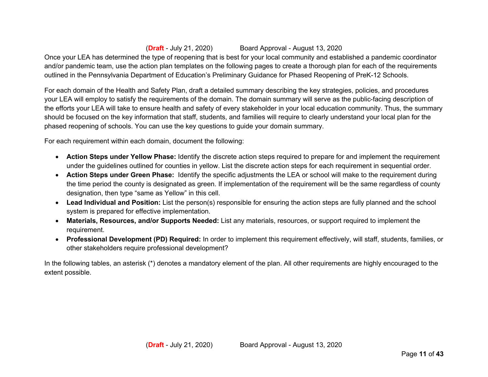Once your LEA has determined the type of reopening that is best for your local community and established a pandemic coordinator and/or pandemic team, use the action plan templates on the following pages to create a thorough plan for each of the requirements outlined in the Pennsylvania Department of Education's Preliminary Guidance for Phased Reopening of PreK-12 Schools.

For each domain of the Health and Safety Plan, draft a detailed summary describing the key strategies, policies, and procedures your LEA will employ to satisfy the requirements of the domain. The domain summary will serve as the public-facing description of the efforts your LEA will take to ensure health and safety of every stakeholder in your local education community. Thus, the summary should be focused on the key information that staff, students, and families will require to clearly understand your local plan for the phased reopening of schools. You can use the key questions to guide your domain summary.

For each requirement within each domain, document the following:

- **Action Steps under Yellow Phase:** Identify the discrete action steps required to prepare for and implement the requirement under the guidelines outlined for counties in yellow. List the discrete action steps for each requirement in sequential order.
- **Action Steps under Green Phase:** Identify the specific adjustments the LEA or school will make to the requirement during the time period the county is designated as green. If implementation of the requirement will be the same regardless of county designation, then type "same as Yellow" in this cell.
- **Lead Individual and Position:** List the person(s) responsible for ensuring the action steps are fully planned and the school system is prepared for effective implementation.
- **Materials, Resources, and/or Supports Needed:** List any materials, resources, or support required to implement the requirement.
- **Professional Development (PD) Required:** In order to implement this requirement effectively, will staff, students, families, or other stakeholders require professional development?

In the following tables, an asterisk (\*) denotes a mandatory element of the plan. All other requirements are highly encouraged to the extent possible.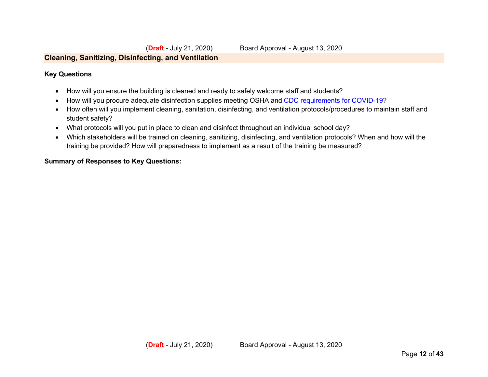#### **Cleaning, Sanitizing, Disinfecting, and Ventilation**

#### **Key Questions**

- How will you ensure the building is cleaned and ready to safely welcome staff and students?
- How will you procure adequate disinfection supplies meeting OSHA and CDC requirements for COVID-19?
- How often will you implement cleaning, sanitation, disinfecting, and ventilation protocols/procedures to maintain staff and student safety?
- What protocols will you put in place to clean and disinfect throughout an individual school day?
- Which stakeholders will be trained on cleaning, sanitizing, disinfecting, and ventilation protocols? When and how will the training be provided? How will preparedness to implement as a result of the training be measured?

#### **Summary of Responses to Key Questions:**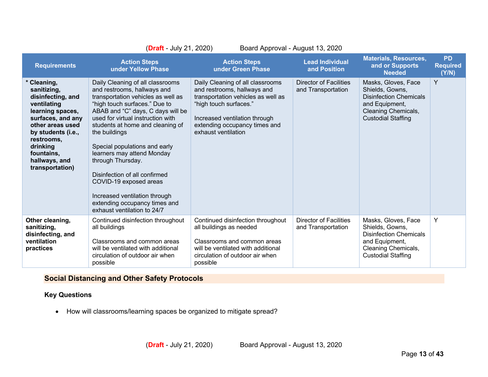|                                                                                                                                                                                                                               | (Draft - July 21, 2020)                                                                                                                                                                                                                                                                                                                                                                                                                                                                                               | Board Approval - August 13, 2020                                                                                                                                                                                         |                                                     |                                                                                                                                               |                                       |
|-------------------------------------------------------------------------------------------------------------------------------------------------------------------------------------------------------------------------------|-----------------------------------------------------------------------------------------------------------------------------------------------------------------------------------------------------------------------------------------------------------------------------------------------------------------------------------------------------------------------------------------------------------------------------------------------------------------------------------------------------------------------|--------------------------------------------------------------------------------------------------------------------------------------------------------------------------------------------------------------------------|-----------------------------------------------------|-----------------------------------------------------------------------------------------------------------------------------------------------|---------------------------------------|
| <b>Requirements</b>                                                                                                                                                                                                           | <b>Action Steps</b><br>under Yellow Phase                                                                                                                                                                                                                                                                                                                                                                                                                                                                             | <b>Action Steps</b><br>under Green Phase                                                                                                                                                                                 | <b>Lead Individual</b><br>and Position              | <b>Materials, Resources,</b><br>and or Supports<br><b>Needed</b>                                                                              | <b>PD</b><br><b>Required</b><br>(Y/N) |
| * Cleaning,<br>sanitizing,<br>disinfecting, and<br>ventilating<br>learning spaces,<br>surfaces, and any<br>other areas used<br>by students (i.e.,<br>restrooms,<br>drinking<br>fountains,<br>hallways, and<br>transportation) | Daily Cleaning of all classrooms<br>and restrooms, hallways and<br>transportation vehicles as well as<br>"high touch surfaces." Due to<br>ABAB and "C" days, C days will be<br>used for virtual instruction with<br>students at home and cleaning of<br>the buildings<br>Special populations and early<br>learners may attend Monday<br>through Thursday.<br>Disinfection of all confirmed<br>COVID-19 exposed areas<br>Increased ventilation through<br>extending occupancy times and<br>exhaust ventilation to 24/7 | Daily Cleaning of all classrooms<br>and restrooms, hallways and<br>transportation vehicles as well as<br>"high touch surfaces."<br>Increased ventilation through<br>extending occupancy times and<br>exhaust ventilation | <b>Director of Facilities</b><br>and Transportation | Masks, Gloves, Face<br>Shields, Gowns,<br><b>Disinfection Chemicals</b><br>and Equipment,<br>Cleaning Chemicals,<br><b>Custodial Staffing</b> | Y                                     |
| Other cleaning,<br>sanitizing,<br>disinfecting, and<br>ventilation<br>practices                                                                                                                                               | Continued disinfection throughout<br>all buildings<br>Classrooms and common areas<br>will be ventilated with additional<br>circulation of outdoor air when<br>possible                                                                                                                                                                                                                                                                                                                                                | Continued disinfection throughout<br>all buildings as needed<br>Classrooms and common areas<br>will be ventilated with additional<br>circulation of outdoor air when<br>possible                                         | <b>Director of Facilities</b><br>and Transportation | Masks, Gloves, Face<br>Shields, Gowns,<br><b>Disinfection Chemicals</b><br>and Equipment,<br>Cleaning Chemicals,<br><b>Custodial Staffing</b> | Y                                     |

# **Social Distancing and Other Safety Protocols**

#### **Key Questions**

• How will classrooms/learning spaces be organized to mitigate spread?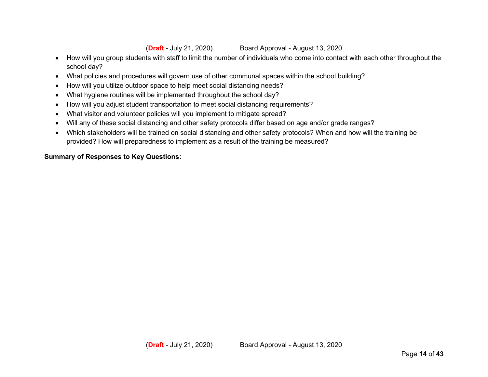- How will you group students with staff to limit the number of individuals who come into contact with each other throughout the school day?
- What policies and procedures will govern use of other communal spaces within the school building?
- How will you utilize outdoor space to help meet social distancing needs?
- What hygiene routines will be implemented throughout the school day?
- How will you adjust student transportation to meet social distancing requirements?
- What visitor and volunteer policies will you implement to mitigate spread?
- Will any of these social distancing and other safety protocols differ based on age and/or grade ranges?
- Which stakeholders will be trained on social distancing and other safety protocols? When and how will the training be provided? How will preparedness to implement as a result of the training be measured?

#### **Summary of Responses to Key Questions:**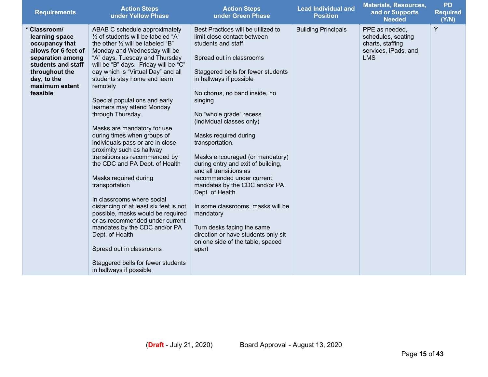| <b>Requirements</b>                                                                                                                                                               | <b>Action Steps</b><br>under Yellow Phase                                                                                                                                                                                                                                                                                                                                                                                                                                                                                                                                                                                                                                                                                                                                                                                                                                                                                                                   | <b>Action Steps</b><br>under Green Phase                                                                                                                                                                                                                                                                                                                                                                                                                                                                                                                                                                                                                                                     | <b>Lead Individual and</b><br><b>Position</b> | <b>Materials, Resources,</b><br>and or Supports<br><b>Needed</b>                               | <b>PD</b><br><b>Required</b><br>(Y/N) |
|-----------------------------------------------------------------------------------------------------------------------------------------------------------------------------------|-------------------------------------------------------------------------------------------------------------------------------------------------------------------------------------------------------------------------------------------------------------------------------------------------------------------------------------------------------------------------------------------------------------------------------------------------------------------------------------------------------------------------------------------------------------------------------------------------------------------------------------------------------------------------------------------------------------------------------------------------------------------------------------------------------------------------------------------------------------------------------------------------------------------------------------------------------------|----------------------------------------------------------------------------------------------------------------------------------------------------------------------------------------------------------------------------------------------------------------------------------------------------------------------------------------------------------------------------------------------------------------------------------------------------------------------------------------------------------------------------------------------------------------------------------------------------------------------------------------------------------------------------------------------|-----------------------------------------------|------------------------------------------------------------------------------------------------|---------------------------------------|
| * Classroom/<br>learning space<br>occupancy that<br>allows for 6 feet of<br>separation among<br>students and staff<br>throughout the<br>day, to the<br>maximum extent<br>feasible | ABAB C schedule approximately<br>$\frac{1}{2}$ of students will be labeled "A"<br>the other $\frac{1}{2}$ will be labeled "B"<br>Monday and Wednesday will be<br>"A" days, Tuesday and Thursday<br>will be "B" days. Friday will be "C"<br>day which is "Virtual Day" and all<br>students stay home and learn<br>remotely<br>Special populations and early<br>learners may attend Monday<br>through Thursday.<br>Masks are mandatory for use<br>during times when groups of<br>individuals pass or are in close<br>proximity such as hallway<br>transitions as recommended by<br>the CDC and PA Dept. of Health<br>Masks required during<br>transportation<br>In classrooms where social<br>distancing of at least six feet is not<br>possible, masks would be required<br>or as recommended under current<br>mandates by the CDC and/or PA<br>Dept. of Health<br>Spread out in classrooms<br>Staggered bells for fewer students<br>in hallways if possible | Best Practices will be utilized to<br>limit close contact between<br>students and staff<br>Spread out in classrooms<br>Staggered bells for fewer students<br>in hallways if possible<br>No chorus, no band inside, no<br>singing<br>No "whole grade" recess<br>(individual classes only)<br>Masks required during<br>transportation.<br>Masks encouraged (or mandatory)<br>during entry and exit of building,<br>and all transitions as<br>recommended under current<br>mandates by the CDC and/or PA<br>Dept. of Health<br>In some classrooms, masks will be<br>mandatory<br>Turn desks facing the same<br>direction or have students only sit<br>on one side of the table, spaced<br>apart | <b>Building Principals</b>                    | PPE as needed,<br>schedules, seating<br>charts, staffing<br>services, iPads, and<br><b>LMS</b> | Y                                     |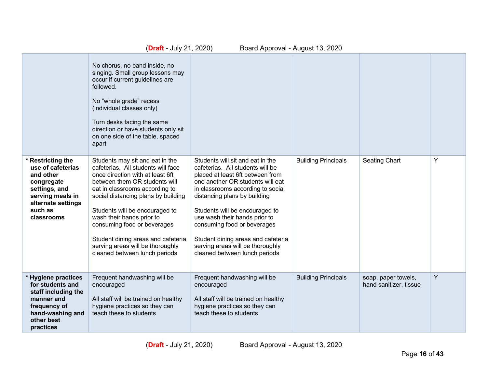|                                                                                                                                                       | (Draft - July 21, 2020)                                                                                                                                                                                                                                                                                                                                                                                                      | Board Approval - August 13, 2020                                                                                                                                                                                                                                                                                                                                                                                               |                            |                                               |   |
|-------------------------------------------------------------------------------------------------------------------------------------------------------|------------------------------------------------------------------------------------------------------------------------------------------------------------------------------------------------------------------------------------------------------------------------------------------------------------------------------------------------------------------------------------------------------------------------------|--------------------------------------------------------------------------------------------------------------------------------------------------------------------------------------------------------------------------------------------------------------------------------------------------------------------------------------------------------------------------------------------------------------------------------|----------------------------|-----------------------------------------------|---|
|                                                                                                                                                       | No chorus, no band inside, no<br>singing. Small group lessons may<br>occur if current guidelines are<br>followed.<br>No "whole grade" recess<br>(individual classes only)<br>Turn desks facing the same<br>direction or have students only sit<br>on one side of the table, spaced<br>apart                                                                                                                                  |                                                                                                                                                                                                                                                                                                                                                                                                                                |                            |                                               |   |
| * Restricting the<br>use of cafeterias<br>and other<br>congregate<br>settings, and<br>serving meals in<br>alternate settings<br>such as<br>classrooms | Students may sit and eat in the<br>cafeterias. All students will face<br>once direction with at least 6ft<br>between them OR students will<br>eat in classrooms according to<br>social distancing plans by building<br>Students will be encouraged to<br>wash their hands prior to<br>consuming food or beverages<br>Student dining areas and cafeteria<br>serving areas will be thoroughly<br>cleaned between lunch periods | Students will sit and eat in the<br>cafeterias. All students will be<br>placed at least 6ft between from<br>one another OR students will eat<br>in classrooms according to social<br>distancing plans by building<br>Students will be encouraged to<br>use wash their hands prior to<br>consuming food or beverages<br>Student dining areas and cafeteria<br>serving areas will be thoroughly<br>cleaned between lunch periods | <b>Building Principals</b> | Seating Chart                                 | Y |
| * Hygiene practices<br>for students and<br>staff including the<br>manner and<br>frequency of<br>hand-washing and<br>other best<br>practices           | Frequent handwashing will be<br>encouraged<br>All staff will be trained on healthy<br>hygiene practices so they can<br>teach these to students                                                                                                                                                                                                                                                                               | Frequent handwashing will be<br>encouraged<br>All staff will be trained on healthy<br>hygiene practices so they can<br>teach these to students                                                                                                                                                                                                                                                                                 | <b>Building Principals</b> | soap, paper towels,<br>hand sanitizer, tissue | Y |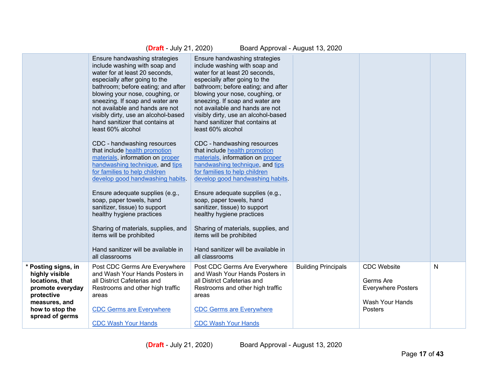|                                                                                                                                                   | (Draft - July 21, 2020)                                                                                                                                                                                                                                                                                                                                                                                                                                                                                                                                                                                                                                                                                                                                                                                                                              | Board Approval - August 13, 2020                                                                                                                                                                                                                                                                                                                                                                                                                                                                                                                                                                                                                                                                                                                                                                                                                     |                            |                                                                                            |   |
|---------------------------------------------------------------------------------------------------------------------------------------------------|------------------------------------------------------------------------------------------------------------------------------------------------------------------------------------------------------------------------------------------------------------------------------------------------------------------------------------------------------------------------------------------------------------------------------------------------------------------------------------------------------------------------------------------------------------------------------------------------------------------------------------------------------------------------------------------------------------------------------------------------------------------------------------------------------------------------------------------------------|------------------------------------------------------------------------------------------------------------------------------------------------------------------------------------------------------------------------------------------------------------------------------------------------------------------------------------------------------------------------------------------------------------------------------------------------------------------------------------------------------------------------------------------------------------------------------------------------------------------------------------------------------------------------------------------------------------------------------------------------------------------------------------------------------------------------------------------------------|----------------------------|--------------------------------------------------------------------------------------------|---|
|                                                                                                                                                   | Ensure handwashing strategies<br>include washing with soap and<br>water for at least 20 seconds,<br>especially after going to the<br>bathroom; before eating; and after<br>blowing your nose, coughing, or<br>sneezing. If soap and water are<br>not available and hands are not<br>visibly dirty, use an alcohol-based<br>hand sanitizer that contains at<br>least 60% alcohol<br>CDC - handwashing resources<br>that include health promotion<br>materials, information on proper<br>handwashing technique, and tips<br>for families to help children<br>develop good handwashing habits.<br>Ensure adequate supplies (e.g.,<br>soap, paper towels, hand<br>sanitizer, tissue) to support<br>healthy hygiene practices<br>Sharing of materials, supplies, and<br>items will be prohibited<br>Hand sanitizer will be available in<br>all classrooms | Ensure handwashing strategies<br>include washing with soap and<br>water for at least 20 seconds,<br>especially after going to the<br>bathroom; before eating; and after<br>blowing your nose, coughing, or<br>sneezing. If soap and water are<br>not available and hands are not<br>visibly dirty, use an alcohol-based<br>hand sanitizer that contains at<br>least 60% alcohol<br>CDC - handwashing resources<br>that include health promotion<br>materials, information on proper<br>handwashing technique, and tips<br>for families to help children<br>develop good handwashing habits.<br>Ensure adequate supplies (e.g.,<br>soap, paper towels, hand<br>sanitizer, tissue) to support<br>healthy hygiene practices<br>Sharing of materials, supplies, and<br>items will be prohibited<br>Hand sanitizer will be available in<br>all classrooms |                            |                                                                                            |   |
| * Posting signs, in<br>highly visible<br>locations, that<br>promote everyday<br>protective<br>measures, and<br>how to stop the<br>spread of germs | Post CDC Germs Are Everywhere<br>and Wash Your Hands Posters in<br>all District Cafeterias and<br>Restrooms and other high traffic<br>areas<br><b>CDC Germs are Everywhere</b><br><b>CDC Wash Your Hands</b>                                                                                                                                                                                                                                                                                                                                                                                                                                                                                                                                                                                                                                         | Post CDC Germs Are Everywhere<br>and Wash Your Hands Posters in<br>all District Cafeterias and<br>Restrooms and other high traffic<br>areas<br><b>CDC Germs are Everywhere</b><br><b>CDC Wash Your Hands</b>                                                                                                                                                                                                                                                                                                                                                                                                                                                                                                                                                                                                                                         | <b>Building Principals</b> | <b>CDC</b> Website<br>Germs Are<br><b>Everywhere Posters</b><br>Wash Your Hands<br>Posters | N |
|                                                                                                                                                   |                                                                                                                                                                                                                                                                                                                                                                                                                                                                                                                                                                                                                                                                                                                                                                                                                                                      |                                                                                                                                                                                                                                                                                                                                                                                                                                                                                                                                                                                                                                                                                                                                                                                                                                                      |                            |                                                                                            |   |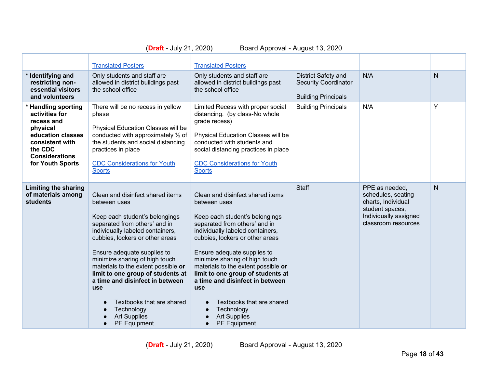|                                                                                                                                                                 | <b>Translated Posters</b>                                                                                                                                                                                                                                                                                                                                                                                                                                                  | <b>Translated Posters</b>                                                                                                                                                                                                                                                                                                                                                                                                                                                               |                                                                                  |                                                                                                                               |              |
|-----------------------------------------------------------------------------------------------------------------------------------------------------------------|----------------------------------------------------------------------------------------------------------------------------------------------------------------------------------------------------------------------------------------------------------------------------------------------------------------------------------------------------------------------------------------------------------------------------------------------------------------------------|-----------------------------------------------------------------------------------------------------------------------------------------------------------------------------------------------------------------------------------------------------------------------------------------------------------------------------------------------------------------------------------------------------------------------------------------------------------------------------------------|----------------------------------------------------------------------------------|-------------------------------------------------------------------------------------------------------------------------------|--------------|
| * Identifying and<br>restricting non-<br>essential visitors<br>and volunteers                                                                                   | Only students and staff are<br>allowed in district buildings past<br>the school office                                                                                                                                                                                                                                                                                                                                                                                     | Only students and staff are<br>allowed in district buildings past<br>the school office                                                                                                                                                                                                                                                                                                                                                                                                  | District Safety and<br><b>Security Coordinator</b><br><b>Building Principals</b> | N/A                                                                                                                           | $\mathsf{N}$ |
| * Handling sporting<br>activities for<br>recess and<br>physical<br>education classes<br>consistent with<br>the CDC<br><b>Considerations</b><br>for Youth Sports | There will be no recess in yellow<br>phase<br>Physical Education Classes will be<br>conducted with approximately 1/2 of<br>the students and social distancing<br>practices in place<br><b>CDC Considerations for Youth</b><br><b>Sports</b>                                                                                                                                                                                                                                | Limited Recess with proper social<br>distancing. (by class-No whole<br>grade recess)<br>Physical Education Classes will be<br>conducted with students and<br>social distancing practices in place<br><b>CDC Considerations for Youth</b><br><b>Sports</b>                                                                                                                                                                                                                               | <b>Building Principals</b>                                                       | N/A                                                                                                                           | Y            |
| <b>Limiting the sharing</b><br>of materials among<br>students                                                                                                   | Clean and disinfect shared items<br>between uses<br>Keep each student's belongings<br>separated from others' and in<br>individually labeled containers,<br>cubbies, lockers or other areas<br>Ensure adequate supplies to<br>minimize sharing of high touch<br>materials to the extent possible or<br>limit to one group of students at<br>a time and disinfect in between<br><b>use</b><br>Textbooks that are shared<br>Technology<br><b>Art Supplies</b><br>PE Equipment | Clean and disinfect shared items<br>between uses<br>Keep each student's belongings<br>separated from others' and in<br>individually labeled containers,<br>cubbies, lockers or other areas<br>Ensure adequate supplies to<br>minimize sharing of high touch<br>materials to the extent possible or<br>limit to one group of students at<br>a time and disinfect in between<br>use<br>Textbooks that are shared<br>Technology<br><b>Art Supplies</b><br><b>PE Equipment</b><br>$\bullet$ | <b>Staff</b>                                                                     | PPE as needed,<br>schedules, seating<br>charts, Individual<br>student spaces,<br>Individually assigned<br>classroom resources | $\mathsf{N}$ |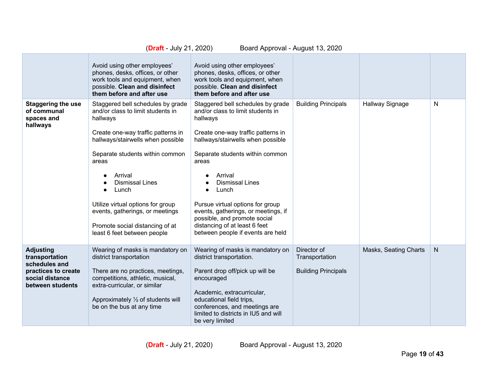|                                                                                                                   | ( <b>Draft</b> - July 21, 2020)<br>Board Approval - August 13, 2020                                                                                                                                                                                                                                                                                                                               |                                                                                                                                                                                                                                                                                                                                                                                                                                                       |                                                             |                       |              |  |
|-------------------------------------------------------------------------------------------------------------------|---------------------------------------------------------------------------------------------------------------------------------------------------------------------------------------------------------------------------------------------------------------------------------------------------------------------------------------------------------------------------------------------------|-------------------------------------------------------------------------------------------------------------------------------------------------------------------------------------------------------------------------------------------------------------------------------------------------------------------------------------------------------------------------------------------------------------------------------------------------------|-------------------------------------------------------------|-----------------------|--------------|--|
|                                                                                                                   | Avoid using other employees'<br>phones, desks, offices, or other<br>work tools and equipment, when<br>possible. Clean and disinfect<br>them before and after use                                                                                                                                                                                                                                  | Avoid using other employees'<br>phones, desks, offices, or other<br>work tools and equipment, when<br>possible. Clean and disinfect<br>them before and after use                                                                                                                                                                                                                                                                                      |                                                             |                       |              |  |
| <b>Staggering the use</b><br>of communal<br>spaces and<br>hallways                                                | Staggered bell schedules by grade<br>and/or class to limit students in<br>hallways<br>Create one-way traffic patterns in<br>hallways/stairwells when possible<br>Separate students within common<br>areas<br>Arrival<br><b>Dismissal Lines</b><br>Lunch<br>Utilize virtual options for group<br>events, gatherings, or meetings<br>Promote social distancing of at<br>least 6 feet between people | Staggered bell schedules by grade<br>and/or class to limit students in<br>hallways<br>Create one-way traffic patterns in<br>hallways/stairwells when possible<br>Separate students within common<br>areas<br>Arrival<br><b>Dismissal Lines</b><br>Lunch<br>$\bullet$<br>Pursue virtual options for group<br>events, gatherings, or meetings, if<br>possible, and promote social<br>distancing of at least 6 feet<br>between people if events are held | <b>Building Principals</b>                                  | Hallway Signage       | N            |  |
| <b>Adjusting</b><br>transportation<br>schedules and<br>practices to create<br>social distance<br>between students | Wearing of masks is mandatory on<br>district transportation<br>There are no practices, meetings,<br>competitions, athletic, musical,<br>extra-curricular, or similar<br>Approximately $\frac{1}{2}$ of students will<br>be on the bus at any time                                                                                                                                                 | Wearing of masks is mandatory on<br>district transportation.<br>Parent drop off/pick up will be<br>encouraged<br>Academic, extracurricular,<br>educational field trips,<br>conferences, and meetings are<br>limited to districts in IU5 and will<br>be very limited                                                                                                                                                                                   | Director of<br>Transportation<br><b>Building Principals</b> | Masks, Seating Charts | $\mathsf{N}$ |  |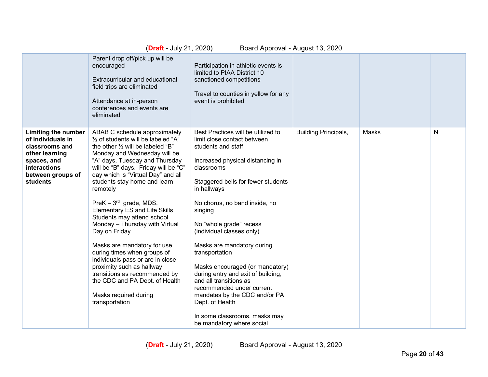|                                                                                                                                              | ( <b>Draft</b> - July 21, 2020)                                                                                                                                                                                                                                                                                                                                                                                                                                                                                                                                                                                                                                                                                     | Board Approval - August 13, 2020                                                                                                                                                                                                                                                                                                                                                                                                                                                                                                                                                                     |                             |       |              |
|----------------------------------------------------------------------------------------------------------------------------------------------|---------------------------------------------------------------------------------------------------------------------------------------------------------------------------------------------------------------------------------------------------------------------------------------------------------------------------------------------------------------------------------------------------------------------------------------------------------------------------------------------------------------------------------------------------------------------------------------------------------------------------------------------------------------------------------------------------------------------|------------------------------------------------------------------------------------------------------------------------------------------------------------------------------------------------------------------------------------------------------------------------------------------------------------------------------------------------------------------------------------------------------------------------------------------------------------------------------------------------------------------------------------------------------------------------------------------------------|-----------------------------|-------|--------------|
|                                                                                                                                              | Parent drop off/pick up will be<br>encouraged<br>Extracurricular and educational<br>field trips are eliminated<br>Attendance at in-person<br>conferences and events are<br>eliminated                                                                                                                                                                                                                                                                                                                                                                                                                                                                                                                               | Participation in athletic events is<br>limited to PIAA District 10<br>sanctioned competitions<br>Travel to counties in yellow for any<br>event is prohibited                                                                                                                                                                                                                                                                                                                                                                                                                                         |                             |       |              |
| Limiting the number<br>of individuals in<br>classrooms and<br>other learning<br>spaces, and<br>interactions<br>between groups of<br>students | ABAB C schedule approximately<br>1/2 of students will be labeled "A"<br>the other $\frac{1}{2}$ will be labeled "B"<br>Monday and Wednesday will be<br>"A" days, Tuesday and Thursday<br>will be "B" days. Friday will be "C"<br>day which is "Virtual Day" and all<br>students stay home and learn<br>remotely<br>PreK $-3^{rd}$ grade, MDS,<br><b>Elementary ES and Life Skills</b><br>Students may attend school<br>Monday - Thursday with Virtual<br>Day on Friday<br>Masks are mandatory for use<br>during times when groups of<br>individuals pass or are in close<br>proximity such as hallway<br>transitions as recommended by<br>the CDC and PA Dept. of Health<br>Masks required during<br>transportation | Best Practices will be utilized to<br>limit close contact between<br>students and staff<br>Increased physical distancing in<br>classrooms<br>Staggered bells for fewer students<br>in hallways<br>No chorus, no band inside, no<br>singing<br>No "whole grade" recess<br>(individual classes only)<br>Masks are mandatory during<br>transportation<br>Masks encouraged (or mandatory)<br>during entry and exit of building,<br>and all transitions as<br>recommended under current<br>mandates by the CDC and/or PA<br>Dept. of Health<br>In some classrooms, masks may<br>be mandatory where social | <b>Building Principals,</b> | Masks | $\mathsf{N}$ |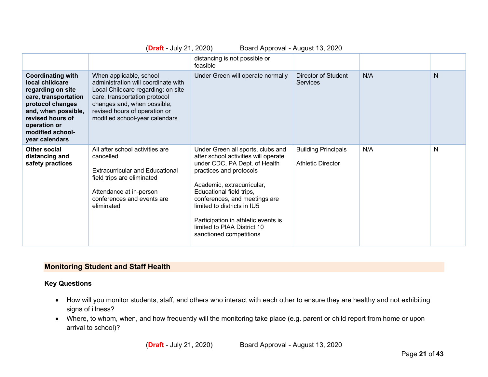|                                                                                                                                                                                                               | Board Approval - August 13, 2020<br>$(Draft - July 21, 2020)$                                                                                                                                                                           |                                                                                                                                                                                                                                                                                                                                                                  |                                                        |     |              |  |
|---------------------------------------------------------------------------------------------------------------------------------------------------------------------------------------------------------------|-----------------------------------------------------------------------------------------------------------------------------------------------------------------------------------------------------------------------------------------|------------------------------------------------------------------------------------------------------------------------------------------------------------------------------------------------------------------------------------------------------------------------------------------------------------------------------------------------------------------|--------------------------------------------------------|-----|--------------|--|
|                                                                                                                                                                                                               |                                                                                                                                                                                                                                         | distancing is not possible or<br>feasible                                                                                                                                                                                                                                                                                                                        |                                                        |     |              |  |
| <b>Coordinating with</b><br>local childcare<br>regarding on site<br>care, transportation<br>protocol changes<br>and, when possible,<br>revised hours of<br>operation or<br>modified school-<br>year calendars | When applicable, school<br>administration will coordinate with<br>Local Childcare regarding: on site<br>care, transportation protocol<br>changes and, when possible,<br>revised hours of operation or<br>modified school-year calendars | Under Green will operate normally                                                                                                                                                                                                                                                                                                                                | Director of Student<br><b>Services</b>                 | N/A | $\mathsf{N}$ |  |
| Other social<br>distancing and<br>safety practices                                                                                                                                                            | All after school activities are<br>cancelled<br><b>Extracurricular and Educational</b><br>field trips are eliminated<br>Attendance at in-person<br>conferences and events are<br>eliminated                                             | Under Green all sports, clubs and<br>after school activities will operate<br>under CDC, PA Dept. of Health<br>practices and protocols<br>Academic, extracurricular,<br>Educational field trips,<br>conferences, and meetings are<br>limited to districts in IU5<br>Participation in athletic events is<br>limited to PIAA District 10<br>sanctioned competitions | <b>Building Principals</b><br><b>Athletic Director</b> | N/A | N            |  |

#### **Monitoring Student and Staff Health**

#### **Key Questions**

- How will you monitor students, staff, and others who interact with each other to ensure they are healthy and not exhibiting signs of illness?
- Where, to whom, when, and how frequently will the monitoring take place (e.g. parent or child report from home or upon arrival to school)?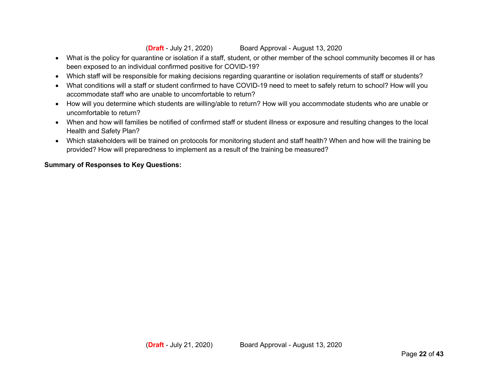- What is the policy for quarantine or isolation if a staff, student, or other member of the school community becomes ill or has been exposed to an individual confirmed positive for COVID-19?
- Which staff will be responsible for making decisions regarding quarantine or isolation requirements of staff or students?
- What conditions will a staff or student confirmed to have COVID-19 need to meet to safely return to school? How will you accommodate staff who are unable to uncomfortable to return?
- How will you determine which students are willing/able to return? How will you accommodate students who are unable or uncomfortable to return?
- When and how will families be notified of confirmed staff or student illness or exposure and resulting changes to the local Health and Safety Plan?
- Which stakeholders will be trained on protocols for monitoring student and staff health? When and how will the training be provided? How will preparedness to implement as a result of the training be measured?

#### **Summary of Responses to Key Questions:**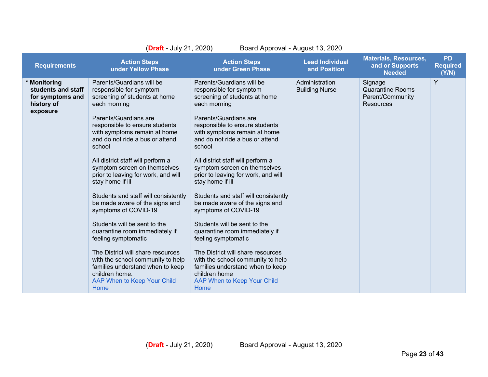| (Draft - July 21, 2020)<br>Board Approval - August 13, 2020                      |                                                                                                                                                                                                                                                                                                                                                                                                                                                                                                                                                                                                                                                                                                                                                 |                                                                                                                                                                                                                                                                                                                                                                                                                                                                                                                                                                                                                                                                                                                                                |                                         |                                                                            |                                       |
|----------------------------------------------------------------------------------|-------------------------------------------------------------------------------------------------------------------------------------------------------------------------------------------------------------------------------------------------------------------------------------------------------------------------------------------------------------------------------------------------------------------------------------------------------------------------------------------------------------------------------------------------------------------------------------------------------------------------------------------------------------------------------------------------------------------------------------------------|------------------------------------------------------------------------------------------------------------------------------------------------------------------------------------------------------------------------------------------------------------------------------------------------------------------------------------------------------------------------------------------------------------------------------------------------------------------------------------------------------------------------------------------------------------------------------------------------------------------------------------------------------------------------------------------------------------------------------------------------|-----------------------------------------|----------------------------------------------------------------------------|---------------------------------------|
| <b>Requirements</b>                                                              | <b>Action Steps</b><br>under Yellow Phase                                                                                                                                                                                                                                                                                                                                                                                                                                                                                                                                                                                                                                                                                                       | <b>Action Steps</b><br>under Green Phase                                                                                                                                                                                                                                                                                                                                                                                                                                                                                                                                                                                                                                                                                                       | <b>Lead Individual</b><br>and Position  | <b>Materials, Resources,</b><br>and or Supports<br><b>Needed</b>           | <b>PD</b><br><b>Required</b><br>(Y/N) |
| * Monitoring<br>students and staff<br>for symptoms and<br>history of<br>exposure | Parents/Guardians will be<br>responsible for symptom<br>screening of students at home<br>each morning<br>Parents/Guardians are<br>responsible to ensure students<br>with symptoms remain at home<br>and do not ride a bus or attend<br>school<br>All district staff will perform a<br>symptom screen on themselves<br>prior to leaving for work, and will<br>stay home if ill<br>Students and staff will consistently<br>be made aware of the signs and<br>symptoms of COVID-19<br>Students will be sent to the<br>quarantine room immediately if<br>feeling symptomatic<br>The District will share resources<br>with the school community to help<br>families understand when to keep<br>children home.<br>AAP When to Keep Your Child<br>Home | Parents/Guardians will be<br>responsible for symptom<br>screening of students at home<br>each morning<br>Parents/Guardians are<br>responsible to ensure students<br>with symptoms remain at home<br>and do not ride a bus or attend<br>school<br>All district staff will perform a<br>symptom screen on themselves<br>prior to leaving for work, and will<br>stay home if ill<br>Students and staff will consistently<br>be made aware of the signs and<br>symptoms of COVID-19<br>Students will be sent to the<br>quarantine room immediately if<br>feeling symptomatic<br>The District will share resources<br>with the school community to help<br>families understand when to keep<br>children home<br>AAP When to Keep Your Child<br>Home | Administration<br><b>Building Nurse</b> | Signage<br><b>Quarantine Rooms</b><br>Parent/Community<br><b>Resources</b> | Y                                     |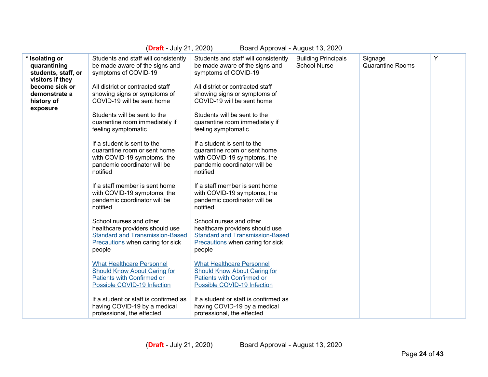| (Draft - July 21, 2020)<br>Board Approval - August 13, 2020                                                                            |                                                                                                                                                                                                  |                                                                                                                                                                                                  |                                                   |                                    |   |
|----------------------------------------------------------------------------------------------------------------------------------------|--------------------------------------------------------------------------------------------------------------------------------------------------------------------------------------------------|--------------------------------------------------------------------------------------------------------------------------------------------------------------------------------------------------|---------------------------------------------------|------------------------------------|---|
| * Isolating or<br>quarantining<br>students, staff, or<br>visitors if they<br>become sick or<br>demonstrate a<br>history of<br>exposure | Students and staff will consistently<br>be made aware of the signs and<br>symptoms of COVID-19<br>All district or contracted staff<br>showing signs or symptoms of<br>COVID-19 will be sent home | Students and staff will consistently<br>be made aware of the signs and<br>symptoms of COVID-19<br>All district or contracted staff<br>showing signs or symptoms of<br>COVID-19 will be sent home | <b>Building Principals</b><br><b>School Nurse</b> | Signage<br><b>Quarantine Rooms</b> | Υ |
|                                                                                                                                        | Students will be sent to the<br>quarantine room immediately if<br>feeling symptomatic                                                                                                            | Students will be sent to the<br>quarantine room immediately if<br>feeling symptomatic                                                                                                            |                                                   |                                    |   |
|                                                                                                                                        | If a student is sent to the<br>quarantine room or sent home<br>with COVID-19 symptoms, the<br>pandemic coordinator will be<br>notified                                                           | If a student is sent to the<br>quarantine room or sent home<br>with COVID-19 symptoms, the<br>pandemic coordinator will be<br>notified                                                           |                                                   |                                    |   |
|                                                                                                                                        | If a staff member is sent home<br>with COVID-19 symptoms, the<br>pandemic coordinator will be<br>notified                                                                                        | If a staff member is sent home<br>with COVID-19 symptoms, the<br>pandemic coordinator will be<br>notified                                                                                        |                                                   |                                    |   |
|                                                                                                                                        | School nurses and other<br>healthcare providers should use<br><b>Standard and Transmission-Based</b><br>Precautions when caring for sick<br>people                                               | School nurses and other<br>healthcare providers should use<br><b>Standard and Transmission-Based</b><br>Precautions when caring for sick<br>people                                               |                                                   |                                    |   |
|                                                                                                                                        | <b>What Healthcare Personnel</b><br>Should Know About Caring for<br>Patients with Confirmed or<br>Possible COVID-19 Infection                                                                    | <b>What Healthcare Personnel</b><br>Should Know About Caring for<br>Patients with Confirmed or<br>Possible COVID-19 Infection                                                                    |                                                   |                                    |   |
|                                                                                                                                        | If a student or staff is confirmed as<br>having COVID-19 by a medical<br>professional, the effected                                                                                              | If a student or staff is confirmed as<br>having COVID-19 by a medical<br>professional, the effected                                                                                              |                                                   |                                    |   |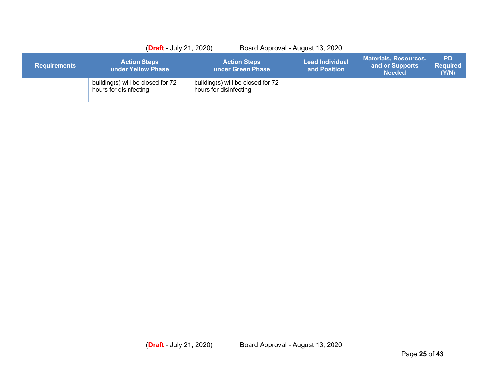|                     | $(Draft - July 21, 2020)$                                   | Board Approval - August 13, 2020                            |                                        |                                                                  |                                       |
|---------------------|-------------------------------------------------------------|-------------------------------------------------------------|----------------------------------------|------------------------------------------------------------------|---------------------------------------|
| <b>Requirements</b> | <b>Action Steps</b><br>under Yellow Phase                   | <b>Action Steps</b><br>under Green Phase                    | <b>Lead Individual</b><br>and Position | <b>Materials, Resources,</b><br>and or Supports<br><b>Needed</b> | <b>PD</b><br><b>Required</b><br>(Y/N) |
|                     | building(s) will be closed for 72<br>hours for disinfecting | building(s) will be closed for 72<br>hours for disinfecting |                                        |                                                                  |                                       |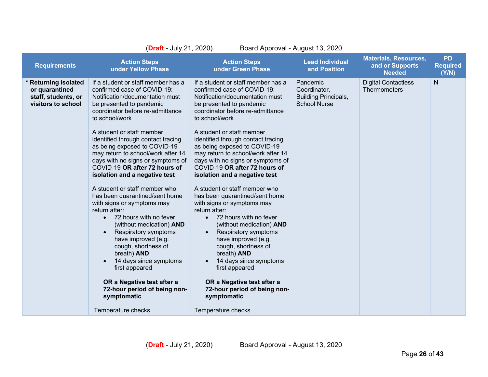|                                                                                     | ( <b>Draft</b> - July 21, 2020)<br>Board Approval - August 13, 2020                                                                                                                                                                                                                                                                                                                                                                                                                                                                                                                                                                                                                                                                                                                                                                                             |                                                                                                                                                                                                                                                                                                                                                                                                                                                                                                                                                                                                                                                                                                                                                                                                                                                                   |                                                                                |                                                                  |                                       |
|-------------------------------------------------------------------------------------|-----------------------------------------------------------------------------------------------------------------------------------------------------------------------------------------------------------------------------------------------------------------------------------------------------------------------------------------------------------------------------------------------------------------------------------------------------------------------------------------------------------------------------------------------------------------------------------------------------------------------------------------------------------------------------------------------------------------------------------------------------------------------------------------------------------------------------------------------------------------|-------------------------------------------------------------------------------------------------------------------------------------------------------------------------------------------------------------------------------------------------------------------------------------------------------------------------------------------------------------------------------------------------------------------------------------------------------------------------------------------------------------------------------------------------------------------------------------------------------------------------------------------------------------------------------------------------------------------------------------------------------------------------------------------------------------------------------------------------------------------|--------------------------------------------------------------------------------|------------------------------------------------------------------|---------------------------------------|
| <b>Requirements</b>                                                                 | <b>Action Steps</b><br>under Yellow Phase                                                                                                                                                                                                                                                                                                                                                                                                                                                                                                                                                                                                                                                                                                                                                                                                                       | <b>Action Steps</b><br>under Green Phase                                                                                                                                                                                                                                                                                                                                                                                                                                                                                                                                                                                                                                                                                                                                                                                                                          | <b>Lead Individual</b><br>and Position                                         | <b>Materials, Resources,</b><br>and or Supports<br><b>Needed</b> | <b>PD</b><br><b>Required</b><br>(Y/N) |
| * Returning isolated<br>or quarantined<br>staff, students, or<br>visitors to school | If a student or staff member has a<br>confirmed case of COVID-19:<br>Notification/documentation must<br>be presented to pandemic<br>coordinator before re-admittance<br>to school/work<br>A student or staff member<br>identified through contact tracing<br>as being exposed to COVID-19<br>may return to school/work after 14<br>days with no signs or symptoms of<br>COVID-19 OR after 72 hours of<br>isolation and a negative test<br>A student or staff member who<br>has been quarantined/sent home<br>with signs or symptoms may<br>return after:<br>72 hours with no fever<br>$\bullet$<br>(without medication) AND<br>Respiratory symptoms<br>have improved (e.g.<br>cough, shortness of<br>breath) AND<br>14 days since symptoms<br>first appeared<br>OR a Negative test after a<br>72-hour period of being non-<br>symptomatic<br>Temperature checks | If a student or staff member has a<br>confirmed case of COVID-19:<br>Notification/documentation must<br>be presented to pandemic<br>coordinator before re-admittance<br>to school/work<br>A student or staff member<br>identified through contact tracing<br>as being exposed to COVID-19<br>may return to school/work after 14<br>days with no signs or symptoms of<br>COVID-19 OR after 72 hours of<br>isolation and a negative test<br>A student or staff member who<br>has been quarantined/sent home<br>with signs or symptoms may<br>return after:<br>• 72 hours with no fever<br>(without medication) AND<br>Respiratory symptoms<br>$\bullet$<br>have improved (e.g.<br>cough, shortness of<br>breath) AND<br>14 days since symptoms<br>first appeared<br>OR a Negative test after a<br>72-hour period of being non-<br>symptomatic<br>Temperature checks | Pandemic<br>Coordinator,<br><b>Building Principals,</b><br><b>School Nurse</b> | <b>Digital Contactless</b><br><b>Thermometers</b>                | N                                     |
|                                                                                     |                                                                                                                                                                                                                                                                                                                                                                                                                                                                                                                                                                                                                                                                                                                                                                                                                                                                 |                                                                                                                                                                                                                                                                                                                                                                                                                                                                                                                                                                                                                                                                                                                                                                                                                                                                   |                                                                                |                                                                  |                                       |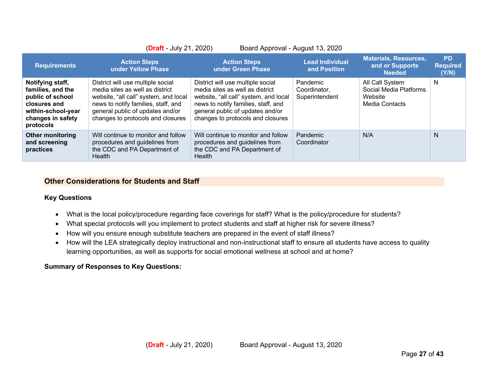| ( <b>Draft</b> - July 21, 2020)<br>Board Approval - August 13, 2020                                                               |                                                                                                                                                                                                                               |                                                                                                                                                                                                                               |                                            |                                                                        |                                       |
|-----------------------------------------------------------------------------------------------------------------------------------|-------------------------------------------------------------------------------------------------------------------------------------------------------------------------------------------------------------------------------|-------------------------------------------------------------------------------------------------------------------------------------------------------------------------------------------------------------------------------|--------------------------------------------|------------------------------------------------------------------------|---------------------------------------|
| <b>Requirements</b>                                                                                                               | <b>Action Steps</b><br>under Yellow Phase                                                                                                                                                                                     | <b>Action Steps</b><br>under Green Phase                                                                                                                                                                                      | <b>Lead Individual</b><br>and Position     | <b>Materials, Resources,</b><br>and or Supports<br><b>Needed</b>       | <b>PD</b><br><b>Required</b><br>(Y/N) |
| Notifying staff,<br>families, and the<br>public of school<br>closures and<br>within-school-year<br>changes in safety<br>protocols | District will use multiple social<br>media sites as well as district<br>website, "all call" system, and local<br>news to notify families, staff, and<br>general public of updates and/or<br>changes to protocols and closures | District will use multiple social<br>media sites as well as district<br>website, "all call" system, and local<br>news to notify families, staff, and<br>general public of updates and/or<br>changes to protocols and closures | Pandemic<br>Coordinator,<br>Superintendent | All Call System<br>Social Media Platforms<br>Website<br>Media Contacts | N                                     |
| <b>Other monitoring</b><br>and screening<br>practices                                                                             | Will continue to monitor and follow<br>procedures and guidelines from<br>the CDC and PA Department of<br>Health                                                                                                               | Will continue to monitor and follow<br>procedures and guidelines from<br>the CDC and PA Department of<br>Health                                                                                                               | Pandemic<br>Coordinator                    | N/A                                                                    | N                                     |

#### **Other Considerations for Students and Staff**

#### **Key Questions**

- What is the local policy/procedure regarding face coverings for staff? What is the policy/procedure for students?
- What special protocols will you implement to protect students and staff at higher risk for severe illness?
- How will you ensure enough substitute teachers are prepared in the event of staff illness?
- How will the LEA strategically deploy instructional and non-instructional staff to ensure all students have access to quality learning opportunities, as well as supports for social emotional wellness at school and at home?

#### **Summary of Responses to Key Questions:**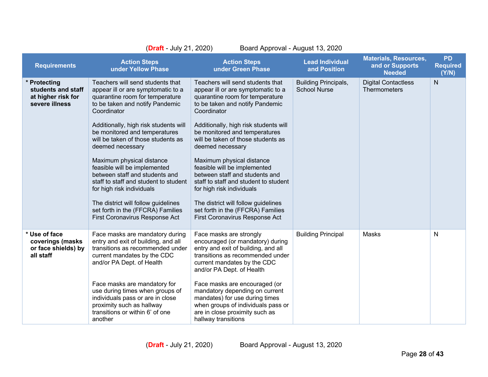| (Draft - July 21, 2020)<br>Board Approval - August 13, 2020                |                                                                                                                                                                                                                                                                                                                                                                                                                                                                                                                                                                                    |                                                                                                                                                                                                                                                                                                                                                                                                                                                                                                                                                                                    |                                                    |                                                                  |                                       |
|----------------------------------------------------------------------------|------------------------------------------------------------------------------------------------------------------------------------------------------------------------------------------------------------------------------------------------------------------------------------------------------------------------------------------------------------------------------------------------------------------------------------------------------------------------------------------------------------------------------------------------------------------------------------|------------------------------------------------------------------------------------------------------------------------------------------------------------------------------------------------------------------------------------------------------------------------------------------------------------------------------------------------------------------------------------------------------------------------------------------------------------------------------------------------------------------------------------------------------------------------------------|----------------------------------------------------|------------------------------------------------------------------|---------------------------------------|
| <b>Requirements</b>                                                        | <b>Action Steps</b><br>under Yellow Phase                                                                                                                                                                                                                                                                                                                                                                                                                                                                                                                                          | <b>Action Steps</b><br>under Green Phase                                                                                                                                                                                                                                                                                                                                                                                                                                                                                                                                           | <b>Lead Individual</b><br>and Position             | <b>Materials, Resources,</b><br>and or Supports<br><b>Needed</b> | <b>PD</b><br><b>Required</b><br>(Y/N) |
| * Protecting<br>students and staff<br>at higher risk for<br>severe illness | Teachers will send students that<br>appear ill or are symptomatic to a<br>quarantine room for temperature<br>to be taken and notify Pandemic<br>Coordinator<br>Additionally, high risk students will<br>be monitored and temperatures<br>will be taken of those students as<br>deemed necessary<br>Maximum physical distance<br>feasible will be implemented<br>between staff and students and<br>staff to staff and student to student<br>for high risk individuals<br>The district will follow guidelines<br>set forth in the (FFCRA) Families<br>First Coronavirus Response Act | Teachers will send students that<br>appear ill or are symptomatic to a<br>quarantine room for temperature<br>to be taken and notify Pandemic<br>Coordinator<br>Additionally, high risk students will<br>be monitored and temperatures<br>will be taken of those students as<br>deemed necessary<br>Maximum physical distance<br>feasible will be implemented<br>between staff and students and<br>staff to staff and student to student<br>for high risk individuals<br>The district will follow guidelines<br>set forth in the (FFCRA) Families<br>First Coronavirus Response Act | <b>Building Principals,</b><br><b>School Nurse</b> | <b>Digital Contactless</b><br><b>Thermometers</b>                | $\mathsf{N}$                          |
| * Use of face<br>coverings (masks<br>or face shields) by<br>all staff      | Face masks are mandatory during<br>entry and exit of building, and all<br>transitions as recommended under<br>current mandates by the CDC<br>and/or PA Dept. of Health<br>Face masks are mandatory for<br>use during times when groups of<br>individuals pass or are in close<br>proximity such as hallway<br>transitions or within 6' of one<br>another                                                                                                                                                                                                                           | Face masks are strongly<br>encouraged (or mandatory) during<br>entry and exit of building, and all<br>transitions as recommended under<br>current mandates by the CDC<br>and/or PA Dept. of Health<br>Face masks are encouraged (or<br>mandatory depending on current<br>mandates) for use during times<br>when groups of individuals pass or<br>are in close proximity such as<br>hallway transitions                                                                                                                                                                             | <b>Building Principal</b>                          | Masks                                                            | N                                     |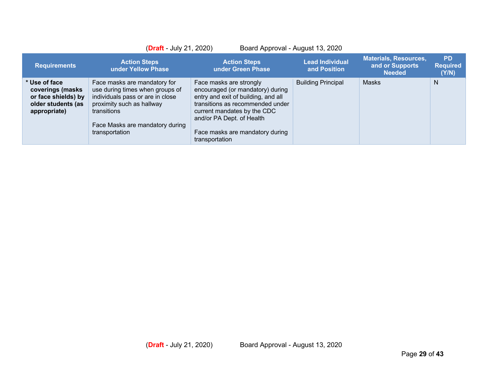|                                                                                                | $(Draft - July 21, 2020)$                                                                                                                                                                            |                                                                                                                                                                                                                                                         | Board Approval - August 13, 2020       |                                                                  |                                       |
|------------------------------------------------------------------------------------------------|------------------------------------------------------------------------------------------------------------------------------------------------------------------------------------------------------|---------------------------------------------------------------------------------------------------------------------------------------------------------------------------------------------------------------------------------------------------------|----------------------------------------|------------------------------------------------------------------|---------------------------------------|
| <b>Requirements</b>                                                                            | <b>Action Steps</b><br>under Yellow Phase                                                                                                                                                            | <b>Action Steps</b><br>under Green Phase                                                                                                                                                                                                                | <b>Lead Individual</b><br>and Position | <b>Materials, Resources,</b><br>and or Supports<br><b>Needed</b> | <b>PD</b><br><b>Required</b><br>(Y/N) |
| * Use of face<br>coverings (masks<br>or face shields) by<br>older students (as<br>appropriate) | Face masks are mandatory for<br>use during times when groups of<br>individuals pass or are in close<br>proximity such as hallway<br>transitions<br>Face Masks are mandatory during<br>transportation | Face masks are strongly<br>encouraged (or mandatory) during<br>entry and exit of building, and all<br>transitions as recommended under<br>current mandates by the CDC<br>and/or PA Dept. of Health<br>Face masks are mandatory during<br>transportation | <b>Building Principal</b>              | Masks                                                            | N                                     |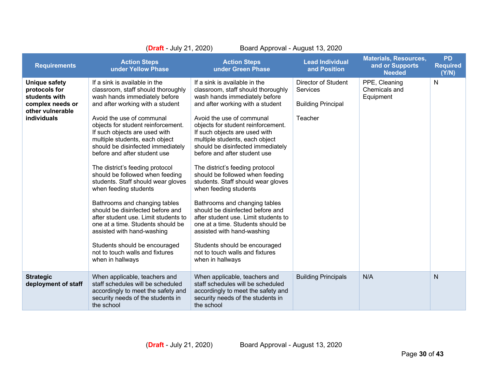| (Draft - July 21, 2020)<br>Board Approval - August 13, 2020                                                          |                                                                                                                                                                                                                                                                                                                                                                                                                                                                                                                                                                                                                                                                                                                                                                  |                                                                                                                                                                                                                                                                                                                                                                                                                                                                                                                                                                                                                                                                                                                                                                  |                                                                         |                                                                  |                                       |
|----------------------------------------------------------------------------------------------------------------------|------------------------------------------------------------------------------------------------------------------------------------------------------------------------------------------------------------------------------------------------------------------------------------------------------------------------------------------------------------------------------------------------------------------------------------------------------------------------------------------------------------------------------------------------------------------------------------------------------------------------------------------------------------------------------------------------------------------------------------------------------------------|------------------------------------------------------------------------------------------------------------------------------------------------------------------------------------------------------------------------------------------------------------------------------------------------------------------------------------------------------------------------------------------------------------------------------------------------------------------------------------------------------------------------------------------------------------------------------------------------------------------------------------------------------------------------------------------------------------------------------------------------------------------|-------------------------------------------------------------------------|------------------------------------------------------------------|---------------------------------------|
| <b>Requirements</b>                                                                                                  | <b>Action Steps</b><br>under Yellow Phase                                                                                                                                                                                                                                                                                                                                                                                                                                                                                                                                                                                                                                                                                                                        | <b>Action Steps</b><br>under Green Phase                                                                                                                                                                                                                                                                                                                                                                                                                                                                                                                                                                                                                                                                                                                         | <b>Lead Individual</b><br>and Position                                  | <b>Materials, Resources,</b><br>and or Supports<br><b>Needed</b> | <b>PD</b><br><b>Required</b><br>(Y/N) |
| <b>Unique safety</b><br>protocols for<br>students with<br>complex needs or<br>other vulnerable<br><b>individuals</b> | If a sink is available in the<br>classroom, staff should thoroughly<br>wash hands immediately before<br>and after working with a student<br>Avoid the use of communal<br>objects for student reinforcement.<br>If such objects are used with<br>multiple students, each object<br>should be disinfected immediately<br>before and after student use<br>The district's feeding protocol<br>should be followed when feeding<br>students. Staff should wear gloves<br>when feeding students<br>Bathrooms and changing tables<br>should be disinfected before and<br>after student use. Limit students to<br>one at a time. Students should be<br>assisted with hand-washing<br>Students should be encouraged<br>not to touch walls and fixtures<br>when in hallways | If a sink is available in the<br>classroom, staff should thoroughly<br>wash hands immediately before<br>and after working with a student<br>Avoid the use of communal<br>objects for student reinforcement.<br>If such objects are used with<br>multiple students, each object<br>should be disinfected immediately<br>before and after student use<br>The district's feeding protocol<br>should be followed when feeding<br>students. Staff should wear gloves<br>when feeding students<br>Bathrooms and changing tables<br>should be disinfected before and<br>after student use. Limit students to<br>one at a time. Students should be<br>assisted with hand-washing<br>Students should be encouraged<br>not to touch walls and fixtures<br>when in hallways | Director of Student<br>Services<br><b>Building Principal</b><br>Teacher | PPE, Cleaning<br>Chemicals and<br>Equipment                      | N                                     |
| <b>Strategic</b><br>deployment of staff                                                                              | When applicable, teachers and<br>staff schedules will be scheduled<br>accordingly to meet the safety and<br>security needs of the students in<br>the school                                                                                                                                                                                                                                                                                                                                                                                                                                                                                                                                                                                                      | When applicable, teachers and<br>staff schedules will be scheduled<br>accordingly to meet the safety and<br>security needs of the students in<br>the school                                                                                                                                                                                                                                                                                                                                                                                                                                                                                                                                                                                                      | <b>Building Principals</b>                                              | N/A                                                              | N                                     |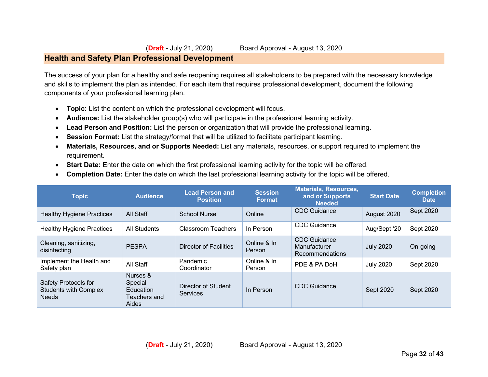### **Health and Safety Plan Professional Development**

The success of your plan for a healthy and safe reopening requires all stakeholders to be prepared with the necessary knowledge and skills to implement the plan as intended. For each item that requires professional development, document the following components of your professional learning plan.

- **Topic:** List the content on which the professional development will focus.
- **Audience:** List the stakeholder group(s) who will participate in the professional learning activity.
- **Lead Person and Position:** List the person or organization that will provide the professional learning.
- **Session Format:** List the strategy/format that will be utilized to facilitate participant learning.
- **Materials, Resources, and or Supports Needed:** List any materials, resources, or support required to implement the requirement.
- **Start Date:** Enter the date on which the first professional learning activity for the topic will be offered.
- **Completion Date:** Enter the date on which the last professional learning activity for the topic will be offered.

| <b>Topic</b>                                                         | <b>Audience</b>                                                  | <b>Lead Person and</b><br><b>Position</b> | <b>Session</b><br><b>Format</b> | <b>Materials, Resources,</b><br>and or Supports<br><b>Needed</b> | <b>Start Date</b> | <b>Completion</b><br><b>Date</b> |
|----------------------------------------------------------------------|------------------------------------------------------------------|-------------------------------------------|---------------------------------|------------------------------------------------------------------|-------------------|----------------------------------|
| <b>Healthy Hygiene Practices</b>                                     | All Staff                                                        | <b>School Nurse</b>                       | Online                          | CDC Guidance                                                     | August 2020       | Sept 2020                        |
| <b>Healthy Hygiene Practices</b>                                     | All Students                                                     | <b>Classroom Teachers</b>                 | In Person                       | <b>CDC</b> Guidance                                              | Aug/Sept '20      | Sept 2020                        |
| Cleaning, sanitizing,<br>disinfecting                                | <b>PESPA</b>                                                     | Director of Facilities                    | Online & In<br>Person           | <b>CDC</b> Guidance<br>Manufacturer<br>Recommendations           | <b>July 2020</b>  | On-going                         |
| Implement the Health and<br>Safety plan                              | All Staff                                                        | Pandemic<br>Coordinator                   | Online & In<br>Person           | PDE & PA DoH                                                     | <b>July 2020</b>  | Sept 2020                        |
| Safety Protocols for<br><b>Students with Complex</b><br><b>Needs</b> | Nurses &<br>Special<br><b>Education</b><br>Teachers and<br>Aides | Director of Student<br>Services           | In Person                       | CDC Guidance                                                     | Sept 2020         | Sept 2020                        |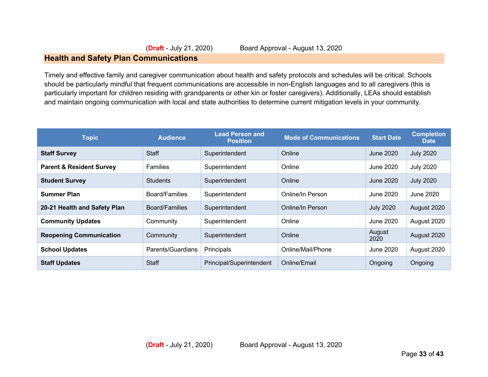#### **Health and Safety Plan Communications**

Timely and effective family and caregiver communication about health and safety protocols and schedules will be critical. Schools should be particularly mindful that frequent communications are accessible in non-English languages and to all caregivers (this is particularly important for children residing with grandparents or other kin or foster caregivers). Additionally, LEAs should establish and maintain ongoing communication with local and state authorities to determine current mitigation levels in your community.

| <b>Topic</b>                        | <b>Audience</b>   | <b>Lead Person and</b><br><b>Position</b> | <b>Mode of Communications</b> | <b>Start Date</b> | <b>Completion</b><br><b>Date</b> |
|-------------------------------------|-------------------|-------------------------------------------|-------------------------------|-------------------|----------------------------------|
| <b>Staff Survey</b>                 | <b>Staff</b>      | Superintendent                            | Online                        | June 2020         | <b>July 2020</b>                 |
| <b>Parent &amp; Resident Survey</b> | Families          | Superintendent                            | Online                        | June 2020         | <b>July 2020</b>                 |
| <b>Student Survey</b>               | <b>Students</b>   | Superintendent                            | Online                        | June 2020         | <b>July 2020</b>                 |
| <b>Summer Plan</b>                  | Board/Families    | Superintendent                            | Online/In Person              | June 2020         | June 2020                        |
| 20-21 Health and Safety Plan        | Board/Families    | Superintendent                            | Online/In Person              | <b>July 2020</b>  | August 2020                      |
| <b>Community Updates</b>            | Community         | Superintendent                            | Online                        | June 2020         | August 2020                      |
| <b>Reopening Communication</b>      | Community         | Superintendent                            | Online                        | August<br>2020    | August 2020                      |
| <b>School Updates</b>               | Parents/Guardians | Principals                                | Online/Mail/Phone             | June 2020         | August 2020                      |
| <b>Staff Updates</b>                | <b>Staff</b>      | Principal/Superintendent                  | Online/Email                  | Ongoing           | Ongoing                          |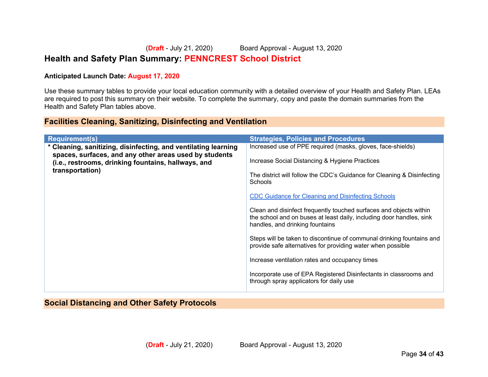# **Health and Safety Plan Summary: PENNCREST School District**

#### **Anticipated Launch Date: August 17, 2020**

Use these summary tables to provide your local education community with a detailed overview of your Health and Safety Plan. LEAs are required to post this summary on their website. To complete the summary, copy and paste the domain summaries from the Health and Safety Plan tables above.

#### **Facilities Cleaning, Sanitizing, Disinfecting and Ventilation**

| <b>Requirement(s)</b>                                                                                         | <b>Strategies, Policies and Procedures</b>                                                                                                                                    |
|---------------------------------------------------------------------------------------------------------------|-------------------------------------------------------------------------------------------------------------------------------------------------------------------------------|
| * Cleaning, sanitizing, disinfecting, and ventilating learning                                                | Increased use of PPE required (masks, gloves, face-shields)                                                                                                                   |
| spaces, surfaces, and any other areas used by students<br>(i.e., restrooms, drinking fountains, hallways, and | Increase Social Distancing & Hygiene Practices                                                                                                                                |
| transportation)                                                                                               | The district will follow the CDC's Guidance for Cleaning & Disinfecting<br>Schools                                                                                            |
|                                                                                                               | <b>CDC Guidance for Cleaning and Disinfecting Schools</b>                                                                                                                     |
|                                                                                                               | Clean and disinfect frequently touched surfaces and objects within<br>the school and on buses at least daily, including door handles, sink<br>handles, and drinking fountains |
|                                                                                                               | Steps will be taken to discontinue of communal drinking fountains and<br>provide safe alternatives for providing water when possible                                          |
|                                                                                                               | Increase ventilation rates and occupancy times                                                                                                                                |
|                                                                                                               | Incorporate use of EPA Registered Disinfectants in classrooms and<br>through spray applicators for daily use                                                                  |

**Social Distancing and Other Safety Protocols**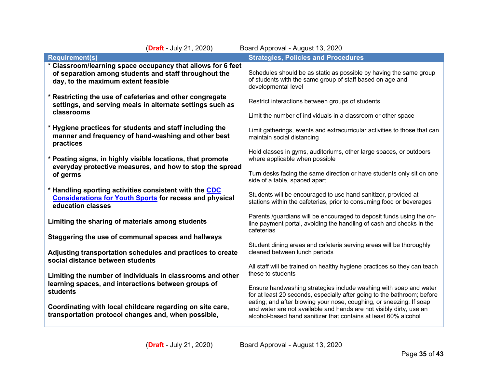| (Draft - July 21, 2020)                                                                                                                                     | Board Approval - August 13, 2020                                                                                                                                                                                    |
|-------------------------------------------------------------------------------------------------------------------------------------------------------------|---------------------------------------------------------------------------------------------------------------------------------------------------------------------------------------------------------------------|
| <b>Requirement(s)</b>                                                                                                                                       | <b>Strategies, Policies and Procedures</b>                                                                                                                                                                          |
| * Classroom/learning space occupancy that allows for 6 feet<br>of separation among students and staff throughout the<br>day, to the maximum extent feasible | Schedules should be as static as possible by having the same group<br>of students with the same group of staff based on age and<br>developmental level                                                              |
| * Restricting the use of cafeterias and other congregate<br>settings, and serving meals in alternate settings such as<br>classrooms                         | Restrict interactions between groups of students<br>Limit the number of individuals in a classroom or other space                                                                                                   |
| * Hygiene practices for students and staff including the<br>manner and frequency of hand-washing and other best<br>practices                                | Limit gatherings, events and extracurricular activities to those that can<br>maintain social distancing                                                                                                             |
| * Posting signs, in highly visible locations, that promote<br>everyday protective measures, and how to stop the spread<br>of germs                          | Hold classes in gyms, auditoriums, other large spaces, or outdoors<br>where applicable when possible<br>Turn desks facing the same direction or have students only sit on one                                       |
| * Handling sporting activities consistent with the CDC<br><b>Considerations for Youth Sports for recess and physical</b><br>education classes               | side of a table, spaced apart<br>Students will be encouraged to use hand sanitizer, provided at<br>stations within the cafeterias, prior to consuming food or beverages                                             |
| Limiting the sharing of materials among students                                                                                                            | Parents /guardians will be encouraged to deposit funds using the on-<br>line payment portal, avoiding the handling of cash and checks in the<br>cafeterias                                                          |
| Staggering the use of communal spaces and hallways<br>Adjusting transportation schedules and practices to create<br>social distance between students        | Student dining areas and cafeteria serving areas will be thoroughly<br>cleaned between lunch periods                                                                                                                |
| Limiting the number of individuals in classrooms and other<br>learning spaces, and interactions between groups of                                           | All staff will be trained on healthy hygiene practices so they can teach<br>these to students                                                                                                                       |
| students<br>Coordinating with local childcare regarding on site care,                                                                                       | Ensure handwashing strategies include washing with soap and water<br>for at least 20 seconds, especially after going to the bathroom; before<br>eating; and after blowing your nose, coughing, or sneezing. If soap |
| transportation protocol changes and, when possible,                                                                                                         | and water are not available and hands are not visibly dirty, use an<br>alcohol-based hand sanitizer that contains at least 60% alcohol                                                                              |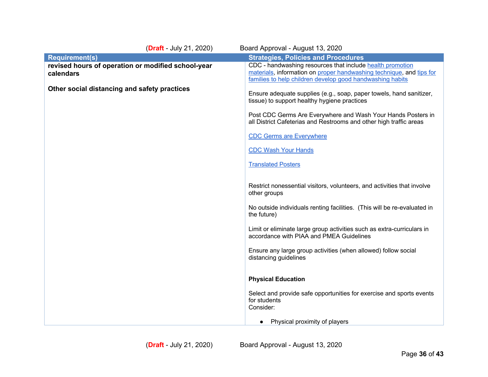| (Draft - July 21, 2020)                                         | Board Approval - August 13, 2020                                                                                                                                                               |
|-----------------------------------------------------------------|------------------------------------------------------------------------------------------------------------------------------------------------------------------------------------------------|
| <b>Requirement(s)</b>                                           | <b>Strategies, Policies and Procedures</b>                                                                                                                                                     |
| revised hours of operation or modified school-year<br>calendars | CDC - handwashing resources that include health promotion<br>materials, information on proper handwashing technique, and tips for<br>families to help children develop good handwashing habits |
| Other social distancing and safety practices                    | Ensure adequate supplies (e.g., soap, paper towels, hand sanitizer,<br>tissue) to support healthy hygiene practices                                                                            |
|                                                                 | Post CDC Germs Are Everywhere and Wash Your Hands Posters in<br>all District Cafeterias and Restrooms and other high traffic areas                                                             |
|                                                                 | <b>CDC Germs are Everywhere</b>                                                                                                                                                                |
|                                                                 | <b>CDC Wash Your Hands</b>                                                                                                                                                                     |
|                                                                 | <b>Translated Posters</b>                                                                                                                                                                      |
|                                                                 | Restrict nonessential visitors, volunteers, and activities that involve<br>other groups                                                                                                        |
|                                                                 | No outside individuals renting facilities. (This will be re-evaluated in<br>the future)                                                                                                        |
|                                                                 | Limit or eliminate large group activities such as extra-curriculars in<br>accordance with PIAA and PMEA Guidelines                                                                             |
|                                                                 | Ensure any large group activities (when allowed) follow social<br>distancing guidelines                                                                                                        |
|                                                                 | <b>Physical Education</b>                                                                                                                                                                      |
|                                                                 | Select and provide safe opportunities for exercise and sports events<br>for students<br>Consider:                                                                                              |
|                                                                 | Physical proximity of players                                                                                                                                                                  |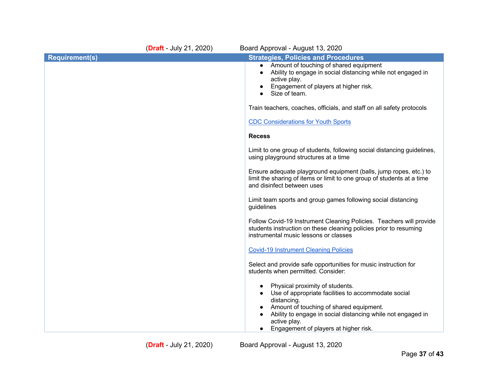|                       | (Draft - July 21, 2020) | Board Approval - August 13, 2020                                                                                                                                                                                                                                         |
|-----------------------|-------------------------|--------------------------------------------------------------------------------------------------------------------------------------------------------------------------------------------------------------------------------------------------------------------------|
| <b>Requirement(s)</b> |                         | <b>Strategies, Policies and Procedures</b>                                                                                                                                                                                                                               |
|                       |                         | Amount of touching of shared equipment<br>$\bullet$<br>Ability to engage in social distancing while not engaged in<br>active play.<br>Engagement of players at higher risk.<br>Size of team.                                                                             |
|                       |                         | Train teachers, coaches, officials, and staff on all safety protocols                                                                                                                                                                                                    |
|                       |                         | <b>CDC Considerations for Youth Sports</b>                                                                                                                                                                                                                               |
|                       |                         | <b>Recess</b>                                                                                                                                                                                                                                                            |
|                       |                         | Limit to one group of students, following social distancing guidelines,<br>using playground structures at a time                                                                                                                                                         |
|                       |                         | Ensure adequate playground equipment (balls, jump ropes, etc.) to<br>limit the sharing of items or limit to one group of students at a time<br>and disinfect between uses                                                                                                |
|                       |                         | Limit team sports and group games following social distancing<br>guidelines                                                                                                                                                                                              |
|                       |                         | Follow Covid-19 Instrument Cleaning Policies. Teachers will provide<br>students instruction on these cleaning policies prior to resuming<br>instrumental music lessons or classes                                                                                        |
|                       |                         | <b>Covid-19 Instrument Cleaning Policies</b>                                                                                                                                                                                                                             |
|                       |                         | Select and provide safe opportunities for music instruction for<br>students when permitted. Consider:                                                                                                                                                                    |
|                       |                         | Physical proximity of students.<br>Use of appropriate facilities to accommodate social<br>distancing.<br>Amount of touching of shared equipment.<br>Ability to engage in social distancing while not engaged in<br>active play.<br>Engagement of players at higher risk. |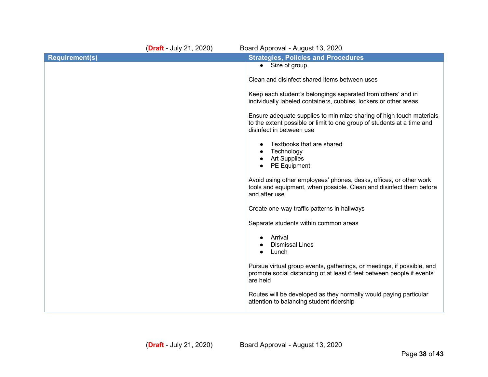|                       | (Draft - July 21, 2020) | Board Approval - August 13, 2020                                                                                                                                           |
|-----------------------|-------------------------|----------------------------------------------------------------------------------------------------------------------------------------------------------------------------|
| <b>Requirement(s)</b> |                         | <b>Strategies, Policies and Procedures</b>                                                                                                                                 |
|                       |                         | • Size of group.                                                                                                                                                           |
|                       |                         | Clean and disinfect shared items between uses                                                                                                                              |
|                       |                         | Keep each student's belongings separated from others' and in<br>individually labeled containers, cubbies, lockers or other areas                                           |
|                       |                         | Ensure adequate supplies to minimize sharing of high touch materials<br>to the extent possible or limit to one group of students at a time and<br>disinfect in between use |
|                       |                         | Textbooks that are shared<br>Technology<br><b>Art Supplies</b><br>PE Equipment<br>$\bullet$                                                                                |
|                       |                         | Avoid using other employees' phones, desks, offices, or other work<br>tools and equipment, when possible. Clean and disinfect them before<br>and after use                 |
|                       |                         | Create one-way traffic patterns in hallways                                                                                                                                |
|                       |                         | Separate students within common areas                                                                                                                                      |
|                       |                         | Arrival<br><b>Dismissal Lines</b><br>Lunch<br>$\bullet$                                                                                                                    |
|                       |                         | Pursue virtual group events, gatherings, or meetings, if possible, and<br>promote social distancing of at least 6 feet between people if events<br>are held                |
|                       |                         | Routes will be developed as they normally would paying particular<br>attention to balancing student ridership                                                              |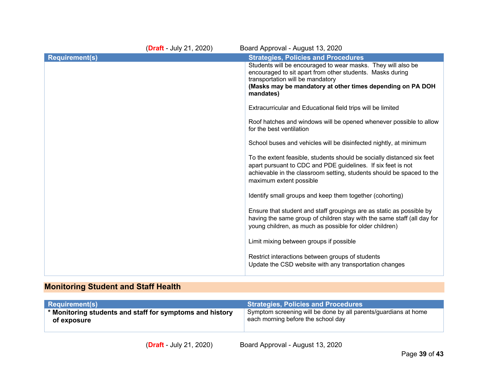| ( <b>Draft</b> - July 21, 2020) | Board Approval - August 13, 2020                                                                                                                                                                                                           |
|---------------------------------|--------------------------------------------------------------------------------------------------------------------------------------------------------------------------------------------------------------------------------------------|
|                                 | <b>Strategies, Policies and Procedures</b>                                                                                                                                                                                                 |
|                                 | Students will be encouraged to wear masks. They will also be<br>encouraged to sit apart from other students. Masks during<br>transportation will be mandatory<br>(Masks may be mandatory at other times depending on PA DOH<br>mandates)   |
|                                 | Extracurricular and Educational field trips will be limited                                                                                                                                                                                |
|                                 | Roof hatches and windows will be opened whenever possible to allow<br>for the best ventilation                                                                                                                                             |
|                                 | School buses and vehicles will be disinfected nightly, at minimum                                                                                                                                                                          |
|                                 | To the extent feasible, students should be socially distanced six feet<br>apart pursuant to CDC and PDE guidelines. If six feet is not<br>achievable in the classroom setting, students should be spaced to the<br>maximum extent possible |
|                                 | Identify small groups and keep them together (cohorting)                                                                                                                                                                                   |
|                                 | Ensure that student and staff groupings are as static as possible by<br>having the same group of children stay with the same staff (all day for<br>young children, as much as possible for older children)                                 |
|                                 | Limit mixing between groups if possible                                                                                                                                                                                                    |
|                                 | Restrict interactions between groups of students<br>Update the CSD website with any transportation changes                                                                                                                                 |
|                                 |                                                                                                                                                                                                                                            |

# **Monitoring Student and Staff Health**

| <b>Requirement(s)</b>                                                  | <b>Strategies, Policies and Procedures</b>                      |
|------------------------------------------------------------------------|-----------------------------------------------------------------|
| $\rightarrow$ * Monitoring students and staff for symptoms and history | Symptom screening will be done by all parents/guardians at home |
| of exposure                                                            | each morning before the school day                              |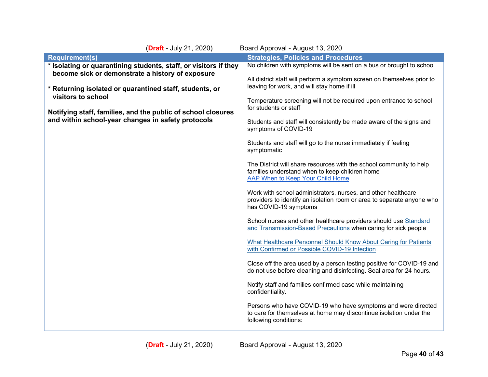| (Draft - July 21, 2020)                                                                                            | Board Approval - August 13, 2020                                                                                                                                 |
|--------------------------------------------------------------------------------------------------------------------|------------------------------------------------------------------------------------------------------------------------------------------------------------------|
| <b>Requirement(s)</b>                                                                                              | <b>Strategies, Policies and Procedures</b>                                                                                                                       |
| * Isolating or quarantining students, staff, or visitors if they                                                   | No children with symptoms will be sent on a bus or brought to school                                                                                             |
| become sick or demonstrate a history of exposure                                                                   | All district staff will perform a symptom screen on themselves prior to                                                                                          |
| * Returning isolated or quarantined staff, students, or<br>visitors to school                                      | leaving for work, and will stay home if ill<br>Temperature screening will not be required upon entrance to school                                                |
| Notifying staff, families, and the public of school closures<br>and within school-year changes in safety protocols | for students or staff                                                                                                                                            |
|                                                                                                                    | Students and staff will consistently be made aware of the signs and<br>symptoms of COVID-19                                                                      |
|                                                                                                                    | Students and staff will go to the nurse immediately if feeling<br>symptomatic                                                                                    |
|                                                                                                                    | The District will share resources with the school community to help<br>families understand when to keep children home<br>AAP When to Keep Your Child Home        |
|                                                                                                                    | Work with school administrators, nurses, and other healthcare<br>providers to identify an isolation room or area to separate anyone who<br>has COVID-19 symptoms |
|                                                                                                                    | School nurses and other healthcare providers should use Standard<br>and Transmission-Based Precautions when caring for sick people                               |
|                                                                                                                    | What Healthcare Personnel Should Know About Caring for Patients<br>with Confirmed or Possible COVID-19 Infection                                                 |
|                                                                                                                    | Close off the area used by a person testing positive for COVID-19 and<br>do not use before cleaning and disinfecting. Seal area for 24 hours.                    |
|                                                                                                                    | Notify staff and families confirmed case while maintaining<br>confidentiality.                                                                                   |
|                                                                                                                    | Persons who have COVID-19 who have symptoms and were directed<br>to care for themselves at home may discontinue isolation under the<br>following conditions:     |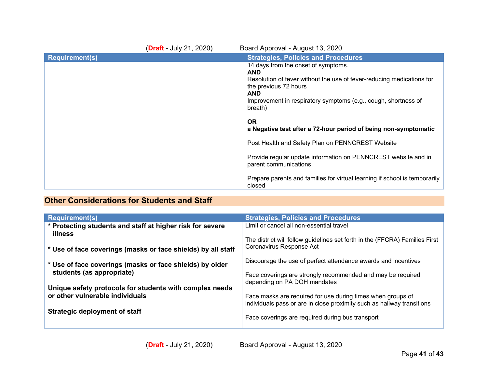|                       | $(Draft - July 21, 2020)$ | Board Approval - August 13, 2020                                                                                                                                                                                                                                                                                               |
|-----------------------|---------------------------|--------------------------------------------------------------------------------------------------------------------------------------------------------------------------------------------------------------------------------------------------------------------------------------------------------------------------------|
| <b>Requirement(s)</b> |                           | <b>Strategies, Policies and Procedures</b>                                                                                                                                                                                                                                                                                     |
|                       |                           | 14 days from the onset of symptoms.<br><b>AND</b><br>Resolution of fever without the use of fever-reducing medications for<br>the previous 72 hours<br><b>AND</b><br>Improvement in respiratory symptoms (e.g., cough, shortness of<br>breath)<br><b>OR</b><br>a Negative test after a 72-hour period of being non-symptomatic |
|                       |                           | Post Health and Safety Plan on PENNCREST Website                                                                                                                                                                                                                                                                               |
|                       |                           | Provide regular update information on PENNCREST website and in<br>parent communications                                                                                                                                                                                                                                        |
|                       |                           | Prepare parents and families for virtual learning if school is temporarily<br>closed                                                                                                                                                                                                                                           |

# **Other Considerations for Students and Staff**

| <b>Requirement(s)</b>                                                | <b>Strategies, Policies and Procedures</b>                                                                                            |
|----------------------------------------------------------------------|---------------------------------------------------------------------------------------------------------------------------------------|
| * Protecting students and staff at higher risk for severe<br>illness | Limit or cancel all non-essential travel                                                                                              |
| * Use of face coverings (masks or face shields) by all staff         | The district will follow guidelines set forth in the (FFCRA) Families First<br>Coronavirus Response Act                               |
| * Use of face coverings (masks or face shields) by older             | Discourage the use of perfect attendance awards and incentives                                                                        |
| students (as appropriate)                                            | Face coverings are strongly recommended and may be required<br>depending on PA DOH mandates                                           |
| Unique safety protocols for students with complex needs              |                                                                                                                                       |
| or other vulnerable individuals                                      | Face masks are required for use during times when groups of<br>individuals pass or are in close proximity such as hallway transitions |
| Strategic deployment of staff                                        | Face coverings are required during bus transport                                                                                      |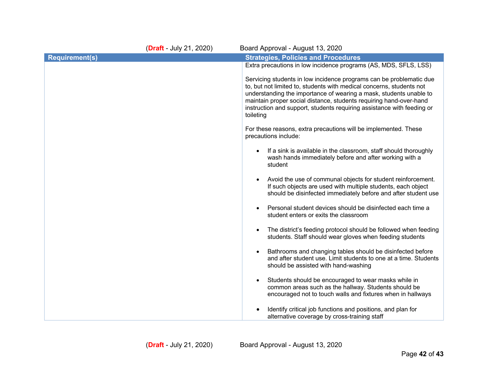|                       | (Draft - July 21, 2020) | Board Approval - August 13, 2020                                                                                                                                                                                                                                                                                                                                               |
|-----------------------|-------------------------|--------------------------------------------------------------------------------------------------------------------------------------------------------------------------------------------------------------------------------------------------------------------------------------------------------------------------------------------------------------------------------|
| <b>Requirement(s)</b> |                         | <b>Strategies, Policies and Procedures</b>                                                                                                                                                                                                                                                                                                                                     |
|                       |                         | Extra precautions in low incidence programs (AS, MDS, SFLS, LSS)                                                                                                                                                                                                                                                                                                               |
|                       |                         | Servicing students in low incidence programs can be problematic due<br>to, but not limited to, students with medical concerns, students not<br>understanding the importance of wearing a mask, students unable to<br>maintain proper social distance, students requiring hand-over-hand<br>instruction and support, students requiring assistance with feeding or<br>toileting |
|                       |                         | For these reasons, extra precautions will be implemented. These<br>precautions include:                                                                                                                                                                                                                                                                                        |
|                       |                         | If a sink is available in the classroom, staff should thoroughly<br>wash hands immediately before and after working with a<br>student                                                                                                                                                                                                                                          |
|                       |                         | Avoid the use of communal objects for student reinforcement.<br>If such objects are used with multiple students, each object<br>should be disinfected immediately before and after student use                                                                                                                                                                                 |
|                       |                         | Personal student devices should be disinfected each time a<br>student enters or exits the classroom                                                                                                                                                                                                                                                                            |
|                       |                         | The district's feeding protocol should be followed when feeding<br>students. Staff should wear gloves when feeding students                                                                                                                                                                                                                                                    |
|                       |                         | Bathrooms and changing tables should be disinfected before<br>and after student use. Limit students to one at a time. Students<br>should be assisted with hand-washing                                                                                                                                                                                                         |
|                       |                         | Students should be encouraged to wear masks while in<br>common areas such as the hallway. Students should be<br>encouraged not to touch walls and fixtures when in hallways                                                                                                                                                                                                    |
|                       |                         | Identify critical job functions and positions, and plan for<br>alternative coverage by cross-training staff                                                                                                                                                                                                                                                                    |